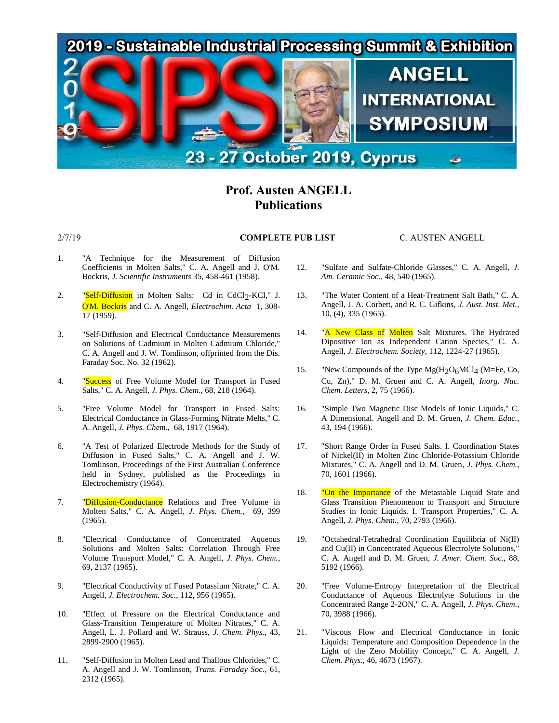

# **Prof. Austen ANGELL Publications**

## 2/7/19 **COMPLETE PUB LIST** C. AUSTEN ANGELL

- 1. "A Technique for the Measurement of Diffusion Coefficients in Molten Salts," C. A. Angell and J. O'M. Bockris, *J. Scientific Instruments* 35, 458-461 (1958).
- 2. "Self-Diffusion in Molten Salts: Cd in CdCl<sub>2</sub>-KCl," J. O'M. Bockris and C. A. Angell, *Electrochim. Acta* 1, 308- 17 (1959).
- 3. "Self-Diffusion and Electrical Conductance Measurements on Solutions of Cadmium in Molten Cadmium Chloride," C. A. Angell and J. W. Tomlinson, offprinted from the Dis. Faraday Soc. No. 32 (1962).
- 4. "Success of Free Volume Model for Transport in Fused Salts," C. A. Angell, *J. Phys. Chem*., 68, 218 (1964).
- 5. "Free Volume Model for Transport in Fused Salts: Electrical Conductance in Glass-Forming Nitrate Melts," C. A. Angell, *J. Phys. Chem.*, 68, 1917 (1964).
- 6. "A Test of Polarized Electrode Methods for the Study of Diffusion in Fused Salts," C. A. Angell and J. W. Tomlinson, Proceedings of the First Australian Conference held in Sydney, published as the Proceedings in Electrochemistry (1964).
- 7. "Diffusion-Conductance Relations and Free Volume in Molten Salts," C. A. Angell, *J. Phys. Chem.*, 69, 399 (1965).
- 8. "Electrical Conductance of Concentrated Aqueous Solutions and Molten Salts: Correlation Through Free Volume Transport Model," C. A. Angell, *J. Phys. Chem.*, 69, 2137 (1965).
- 9. "Electrical Conductivity of Fused Potassium Nitrate," C. A. Angell, *J. Electrochem. Soc.*, 112, 956 (1965).
- 10. "Effect of Pressure on the Electrical Conductance and Glass-Transition Temperature of Molten Nitrates," C. A. Angell, L. J. Pollard and W. Strauss, *J. Chem. Phys.*, 43, 2899-2900 (1965).
- 11. "Self-Diffusion in Molten Lead and Thallous Chlorides," C. A. Angell and J. W. Tomlinson, *Trans. Faraday Soc.*, 61, 2312 (1965).
- 12. "Sulfate and Sulfate-Chloride Glasses," C. A. Angell, *J. Am. Ceramic Soc.*, 48, 540 (1965).
- 13. "The Water Content of a Heat-Treatment Salt Bath," C. A. Angell, J. A. Corbett, and R. C. Gifkins, *J. Aust. Inst. Met.*, 10, (4), 335 (1965).
- 14. "A New Class of Molten Salt Mixtures. The Hydrated Dipositive Ion as Independent Cation Species," C. A. Angell, *J. Electrochem. Society*, 112, 1224-27 (1965).
- 15. "New Compounds of the Type  $Mg(H_2O_6MCl_4$  (M=Fe, Co, Cu, Zn)," D. M. Gruen and C. A. Angell, *Inorg. Nuc. Chem. Letters*, 2, 75 (1966).
- 16. "Simple Two Magnetic Disc Models of Ionic Liquids," C. A Dimensional. Angell and D. M. Gruen, *J. Chem. Educ.*, 43, 194 (1966).
- 17. "Short Range Order in Fused Salts. I. Coordination States of Nickel(II) in Molten Zinc Chloride-Potassium Chloride Mixtures," C. A. Angell and D. M. Gruen, *J. Phys. Chem.*, 70, 1601 (1966).
- 18. "On the Importance of the Metastable Liquid State and Glass Transition Phenomenon to Transport and Structure Studies in Ionic Liquids. I. Transport Properties," C. A. Angell, *J. Phys. Chem.*, 70, 2793 (1966).
- 19. "Octahedral-Tetrahedral Coordination Equilibria of Ni(II) and Cu(II) in Concentrated Aqueous Electrolyte Solutions," C. A. Angell and D. M. Gruen, *J. Amer. Chem. Soc.*, 88, 5192 (1966).
- 20. "Free Volume-Entropy Interpretation of the Electrical Conductance of Aqueous Electrolyte Solutions in the Concentrated Range 2-2ON," C. A. Angell, *J. Phys. Chem.*, 70, 3988 (1966).
- 21. "Viscous Flow and Electrical Conductance in Ionic Liquids: Temperature and Composition Dependence in the Light of the Zero Mobility Concept," C. A. Angell, *J. Chem. Phys.*, 46, 4673 (1967).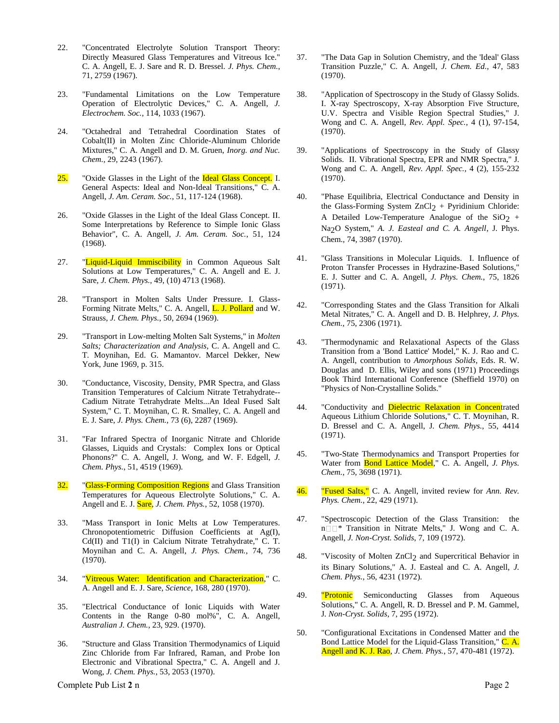- 22. "Concentrated Electrolyte Solution Transport Theory: Directly Measured Glass Temperatures and Vitreous Ice." C. A. Angell, E. J. Sare and R. D. Bressel. *J. Phys. Chem.*, 71, 2759 (1967).
- 23. "Fundamental Limitations on the Low Temperature Operation of Electrolytic Devices," C. A. Angell, *J. Electrochem. Soc.*, 114, 1033 (1967).
- 24. "Octahedral and Tetrahedral Coordination States of Cobalt(II) in Molten Zinc Chloride-Aluminum Chloride Mixtures," C. A. Angell and D. M. Gruen, *Inorg. and Nuc. Chem.*, 29, 2243 (1967).
- 25. "Oxide Glasses in the Light of the Ideal Glass Concept. I. General Aspects: Ideal and Non-Ideal Transitions," C. A. Angell, *J. Am. Ceram. Soc.*, 51, 117-124 (1968).
- 26. "Oxide Glasses in the Light of the Ideal Glass Concept. II. Some Interpretations by Reference to Simple Ionic Glass Behavior", C. A. Angell, *J. Am. Ceram. Soc.*, 51, 124 (1968).
- 27. "Liquid-Liquid Immiscibility in Common Aqueous Salt Solutions at Low Temperatures," C. A. Angell and E. J. Sare, *J. Chem. Phys.*, 49, (10) 4713 (1968).
- 28. "Transport in Molten Salts Under Pressure. I. Glass-Forming Nitrate Melts," C. A. Angell, L. J. Pollard and W. Strauss, *J. Chem. Phys.*, 50, 2694 (1969).
- 29. "Transport in Low-melting Molten Salt Systems," in *Molten Salts; Characterization and Analysis*, C. A. Angell and C. T. Moynihan, Ed. G. Mamantov. Marcel Dekker, New York, June 1969, p. 315.
- 30. "Conductance, Viscosity, Density, PMR Spectra, and Glass Transition Temperatures of Calcium Nitrate Tetrahydrate-- Cadium Nitrate Tetrahydrate Melts...An Ideal Fused Salt System," C. T. Moynihan, C. R. Smalley, C. A. Angell and E. J. Sare, *J. Phys. Chem.*, 73 (6), 2287 (1969).
- 31. "Far Infrared Spectra of Inorganic Nitrate and Chloride Glasses, Liquids and Crystals: Complex Ions or Optical Phonons?" C. A. Angell, J. Wong, and W. F. Edgell, *J. Chem. Phys.*, 51, 4519 (1969).
- 32. "Glass-Forming Composition Regions and Glass Transition Temperatures for Aqueous Electrolyte Solutions," C. A. Angell and E. J. Sare, *J. Chem. Phys.*, 52, 1058 (1970).
- 33. "Mass Transport in Ionic Melts at Low Temperatures. Chronopotentiometric Diffusion Coefficients at Ag(I), Cd(II) and T1(I) in Calcium Nitrate Tetrahydrate," C. T. Moynihan and C. A. Angell, *J. Phys. Chem.*, 74, 736 (1970).
- 34. "Vitreous Water: Identification and Characterization," C. A. Angell and E. J. Sare, *Science*, 168, 280 (1970).
- 35. "Electrical Conductance of Ionic Liquids with Water Contents in the Range 0-80 mol%", C. A. Angell, *Australian J. Chem.*, 23, 929. (1970).
- 36. "Structure and Glass Transition Thermodynamics of Liquid Zinc Chloride from Far Infrared, Raman, and Probe Ion Electronic and Vibrational Spectra," C. A. Angell and J. Wong, *J. Chem. Phys.*, 53, 2053 (1970).
- 37. "The Data Gap in Solution Chemistry, and the 'Ideal' Glass Transition Puzzle," C. A. Angell, *J. Chem. Ed.*, 47, 583 (1970).
- 38. "Application of Spectroscopy in the Study of Glassy Solids. I. X-ray Spectroscopy, X-ray Absorption Five Structure, U.V. Spectra and Visible Region Spectral Studies," J. Wong and C. A. Angell, *Rev. Appl. Spec.*, 4 (1), 97-154, (1970).
- 39. "Applications of Spectroscopy in the Study of Glassy Solids. II. Vibrational Spectra, EPR and NMR Spectra," J. Wong and C. A. Angell, *Rev. Appl. Spec.*, 4 (2), 155-232 (1970).
- 40. "Phase Equilibria, Electrical Conductance and Density in the Glass-Forming System  $ZnCl_2$  + Pyridinium Chloride: A Detailed Low-Temperature Analogue of the  $SiO<sub>2</sub>$  + Na<sub>2</sub>O System," *A. J. Easteal and C. A. Angell*, J. Phys. Chem., 74, 3987 (1970).
- 41. "Glass Transitions in Molecular Liquids. I. Influence of Proton Transfer Processes in Hydrazine-Based Solutions," E. J. Sutter and C. A. Angell, *J. Phys. Chem.*, 75, 1826 (1971).
- 42. "Corresponding States and the Glass Transition for Alkali Metal Nitrates," C. A. Angell and D. B. Helphrey, *J. Phys. Chem.*, 75, 2306 (1971).
- 43. "Thermodynamic and Relaxational Aspects of the Glass Transition from a 'Bond Lattice' Model," K. J. Rao and C. A. Angell, contribution to *Amorphous Solids*, Eds. R. W. Douglas and D. Ellis, Wiley and sons (1971) Proceedings Book Third International Conference (Sheffield 1970) on "Physics of Non-Crystalline Solids."
- 44. "Conductivity and Dielectric Relaxation in Concentrated Aqueous Lithium Chloride Solutions," C. T. Moynihan, R. D. Bressel and C. A. Angell, J*. Chem. Phys.*, 55, 4414 (1971).
- 45. "Two-State Thermodynamics and Transport Properties for Water from Bond Lattice Model," C. A. Angell, *J. Phys. Chem.*, 75, 3698 (1971).
- 46. "Fused Salts," C. A. Angell, invited review for *Ann. Rev. Phys. Chem.*, 22, 429 (1971).
- 47. "Spectroscopic Detection of the Glass Transition: the  $n \Box \Box^*$  Transition in Nitrate Melts," J. Wong and C. A. Angell, *J. Non-Cryst. Solids*, 7, 109 (1972).
- 48. "Viscosity of Molten ZnCl<sub>2</sub> and Supercritical Behavior in its Binary Solutions," A. J. Easteal and C. A. Angell, *J. Chem. Phys.*, 56, 4231 (1972).
- 49. **"Protonic** Semiconducting Glasses from Aqueous Solutions," C. A. Angell, R. D. Bressel and P. M. Gammel, J*. Non-Cryst. Solids*, 7, 295 (1972).
- 50. "Configurational Excitations in Condensed Matter and the Bond Lattice Model for the Liquid-Glass Transition," C. A. Angell and K. J. Rao, *J. Chem. Phys.*, 57, 470-481 (1972).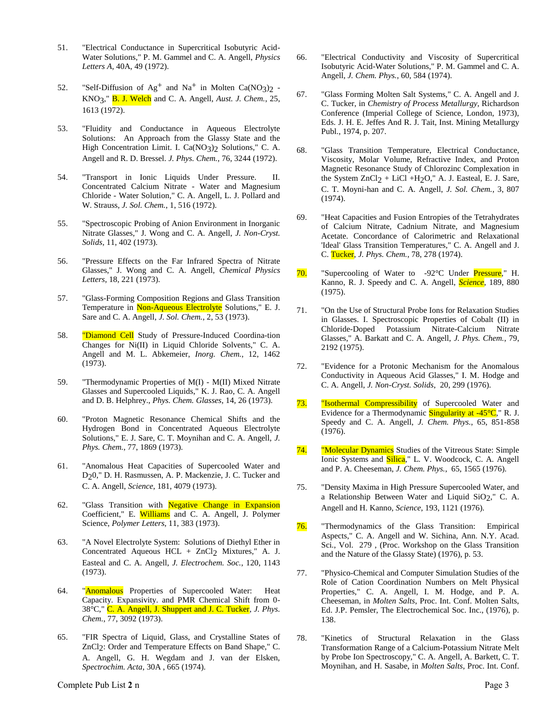- 51. "Electrical Conductance in Supercritical Isobutyric Acid-Water Solutions," P. M. Gammel and C. A. Angell, *Physics Letters A*, 40A, 49 (1972).
- 52. "Self-Diffusion of  $Ag^+$  and Na<sup>+</sup> in Molten Ca(NO<sub>3</sub>)<sub>2</sub> -KNO3," B. J. Welch and C. A. Angell, *Aust. J. Chem.*, 25, 1613 (1972).
- 53. "Fluidity and Conductance in Aqueous Electrolyte Solutions: An Approach from the Glassy State and the High Concentration Limit. I. Ca(NO3)2 Solutions," C. A. Angell and R. D. Bressel. *J. Phys. Chem.*, 76, 3244 (1972).
- 54. "Transport in Ionic Liquids Under Pressure. II. Concentrated Calcium Nitrate - Water and Magnesium Chloride - Water Solution," C. A. Angell, L. J. Pollard and W. Strauss, *J. Sol. Chem.*, 1, 516 (1972).
- 55. "Spectroscopic Probing of Anion Environment in Inorganic Nitrate Glasses," J. Wong and C. A. Angell, *J. Non-Cryst. Solids*, 11, 402 (1973).
- 56. "Pressure Effects on the Far Infrared Spectra of Nitrate Glasses," J. Wong and C. A. Angell, *Chemical Physics Letters*, 18, 221 (1973).
- 57. "Glass-Forming Composition Regions and Glass Transition Temperature in Non-Aqueous Electrolyte Solutions," E. J. Sare and C. A. Angell, *J. Sol. Chem.*, 2, 53 (1973).
- 58. "Diamond Cell Study of Pressure-Induced Coordina-tion Changes for Ni(II) in Liquid Chloride Solvents," C. A. Angell and M. L. Abkemeier, *Inorg. Chem.*, 12, 1462 (1973).
- 59. "Thermodynamic Properties of M(I) M(II) Mixed Nitrate Glasses and Supercooled Liquids," K. J. Rao, C. A. Angell and D. B. Helphrey., *Phys. Chem. Glasses*, 14, 26 (1973).
- 60. "Proton Magnetic Resonance Chemical Shifts and the Hydrogen Bond in Concentrated Aqueous Electrolyte Solutions," E. J. Sare, C. T. Moynihan and C. A. Angell, *J. Phys. Chem.*, 77, 1869 (1973).
- 61. "Anomalous Heat Capacities of Supercooled Water and D20," D. H. Rasmussen, A. P. Mackenzie, J. C. Tucker and C. A. Angell, *Science*, 181, 4079 (1973).
- 62. "Glass Transition with Negative Change in Expansion Coefficient," E. Williams and C. A. Angell, J. Polymer Science, *Polymer Letters*, 11, 383 (1973).
- 63. "A Novel Electrolyte System: Solutions of Diethyl Ether in Concentrated Aqueous HCL +  $ZnCl<sub>2</sub>$  Mixtures," A. J. Easteal and C. A. Angell, *J. Electrochem. Soc.*, 120, 1143 (1973).
- 64. "Anomalous Properties of Supercooled Water: Heat Capacity. Expansivity. and PMR Chemical Shift from 0- 38°C," C. A. Angell, J. Shuppert and J. C. Tucker, *J. Phys. Chem.*, 77, 3092 (1973).
- 65. "FIR Spectra of Liquid, Glass, and Crystalline States of ZnCl<sub>2</sub>: Order and Temperature Effects on Band Shape," C. A. Angell, G. H. Wegdam and J. van der Elsken, *Spectrochim. Acta*, 30A , 665 (1974).
- 66. "Electrical Conductivity and Viscosity of Supercritical Isobutyric Acid-Water Solutions," P. M. Gammel and C. A. Angell, *J. Chem. Phys.*, 60, 584 (1974).
- 67. "Glass Forming Molten Salt Systems," C. A. Angell and J. C. Tucker, in *Chemistry of Process Metallurgy*, Richardson Conference (Imperial College of Science, London, 1973), Eds. J. H. E. Jeffes And R. J. Tait, Inst. Mining Metallurgy Publ., 1974, p. 207.
- 68. "Glass Transition Temperature, Electrical Conductance, Viscosity, Molar Volume, Refractive Index, and Proton Magnetic Resonance Study of Chlorozinc Complexation in the System  $ZnCl_2 + LiCl + H_2O$ ," A. J. Easteal, E. J. Sare, C. T. Moyni-han and C. A. Angell, *J. Sol. Chem.*, 3, 807 (1974).
- 69. "Heat Capacities and Fusion Entropies of the Tetrahydrates of Calcium Nitrate, Cadnium Nitrate, and Magnesium Acetate. Concordance of Calorimetric and Relaxational 'Ideal' Glass Transition Temperatures," C. A. Angell and J. C. Tucker, *J. Phys. Chem.*, 78, 278 (1974).
- 70. "Supercooling of Water to -92°C Under Pressure," H. Kanno, R. J. Speedy and C. A. Angell, *Science*, 189, 880 (1975).
- 71. "On the Use of Structural Probe Ions for Relaxation Studies in Glasses. I. Spectroscopic Properties of Cobalt (II) in Chloride-Doped Potassium Nitrate-Calcium Nitrate Glasses," A. Barkatt and C. A. Angell, *J. Phys. Chem.*, 79, 2192 (1975).
- 72. "Evidence for a Protonic Mechanism for the Anomalous Conductivity in Aqueous Acid Glasses," I. M. Hodge and C. A. Angell, *J. Non-Cryst. Solids*, 20, 299 (1976).
- 73. "Isothermal Compressibility of Supercooled Water and Evidence for a Thermodynamic Singularity at  $-45^{\circ}C$ ," R. J. Speedy and C. A. Angell, *J. Chem. Phys.*, 65, 851-858 (1976).
- 74. "Molecular Dynamics Studies of the Vitreous State: Simple Ionic Systems and **Silica**," L. V. Woodcock, C. A. Angell and P. A. Cheeseman, *J. Chem. Phys.*, 65, 1565 (1976).
- 75. "Density Maxima in High Pressure Supercooled Water, and a Relationship Between Water and Liquid SiO<sub>2</sub>," C. A. Angell and H. Kanno, *Science*, 193, 1121 (1976).
- 76. "Thermodynamics of the Glass Transition: Empirical Aspects," C. A. Angell and W. Sichina, Ann. N.Y. Acad. Sci., Vol. 279 , (Proc. Workshop on the Glass Transition and the Nature of the Glassy State) (1976), p. 53.
- 77. "Physico-Chemical and Computer Simulation Studies of the Role of Cation Coordination Numbers on Melt Physical Properties," C. A. Angell, I. M. Hodge, and P. A. Cheeseman, in *Molten Salts*, Proc. Int. Conf. Molten Salts, Ed. J.P. Pemsler, The Electrochemical Soc. Inc., (1976), p. 138.
- 78. "Kinetics of Structural Relaxation in the Glass Transformation Range of a Calcium-Potassium Nitrate Melt by Probe Ion Spectroscopy," C. A. Angell, A. Barkett, C. T. Moynihan, and H. Sasabe, in *Molten Salts*, Proc. Int. Conf.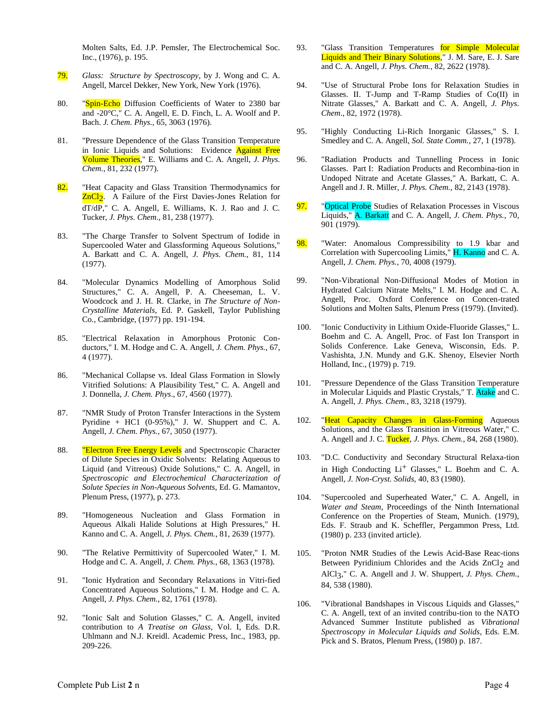Molten Salts, Ed. J.P. Pemsler, The Electrochemical Soc. Inc., (1976), p. 195.

- 79. *Glass: Structure by Spectroscopy*, by J. Wong and C. A. Angell, Marcel Dekker, New York, New York (1976).
- 80. "Spin-Echo Diffusion Coefficients of Water to 2380 bar and -20°C," C. A. Angell, E. D. Finch, L. A. Woolf and P. Bach. *J. Chem. Phys.*, 65, 3063 (1976).
- 81. "Pressure Dependence of the Glass Transition Temperature in Ionic Liquids and Solutions: Evidence Against Free Volume Theories," E. Williams and C. A. Angell, *J. Phys. Chem.*, 81, 232 (1977).
- 82. "Heat Capacity and Glass Transition Thermodynamics for **ZnCl<sub>2</sub>**. A Failure of the First Davies-Jones Relation for dT/dP," C. A. Angell, E. Williams, K. J. Rao and J. C. Tucker, *J. Phys. Chem.*, 81, 238 (1977).
- 83. "The Charge Transfer to Solvent Spectrum of Iodide in Supercooled Water and Glassforming Aqueous Solutions," A. Barkatt and C. A. Angell, *J. Phys. Chem.*, 81, 114 (1977).
- 84. "Molecular Dynamics Modelling of Amorphous Solid Structures," C. A. Angell, P. A. Cheeseman, L. V. Woodcock and J. H. R. Clarke, in *The Structure of Non-Crystalline Materials*, Ed. P. Gaskell, Taylor Publishing Co., Cambridge, (1977) pp. 191-194.
- 85. "Electrical Relaxation in Amorphous Protonic Conductors," I. M. Hodge and C. A. Angell, *J. Chem. Phys.*, 67, 4 (1977).
- 86. "Mechanical Collapse vs. Ideal Glass Formation in Slowly Vitrified Solutions: A Plausibility Test," C. A. Angell and J. Donnella, *J. Chem. Phys*., 67, 4560 (1977).
- 87. "NMR Study of Proton Transfer Interactions in the System Pyridine + HC1 (0-95%)," J. W. Shuppert and C. A. Angell, *J. Chem. Phys.*, 67, 3050 (1977).
- 88. **"Electron Free Energy Levels** and Spectroscopic Character of Dilute Species in Oxidic Solvents: Relating Aqueous to Liquid (and Vitreous) Oxide Solutions," C. A. Angell, in *Spectroscopic and Electrochemical Characterization of Solute Species in Non-Aqueous Solvents*, Ed. G. Mamantov, Plenum Press, (1977), p. 273.
- 89. "Homogeneous Nucleation and Glass Formation in Aqueous Alkali Halide Solutions at High Pressures," H. Kanno and C. A. Angell, *J. Phys. Chem.*, 81, 2639 (1977).
- 90. "The Relative Permittivity of Supercooled Water," I. M. Hodge and C. A. Angell, *J. Chem. Phys.*, 68, 1363 (1978).
- 91. "Ionic Hydration and Secondary Relaxations in Vitri-fied Concentrated Aqueous Solutions," I. M. Hodge and C. A. Angell, *J. Phys. Chem.*, 82, 1761 (1978).
- 92. "Ionic Salt and Solution Glasses," C. A. Angell, invited contribution to *A Treatise on Glass*, Vol. I, Eds. D.R. Uhlmann and N.J. Kreidl. Academic Press, Inc., 1983, pp. 209-226.
- 93. "Glass Transition Temperatures for Simple Molecular Liquids and Their Binary Solutions," J. M. Sare, E. J. Sare and C. A. Angell, *J. Phys. Chem.*, 82, 2622 (1978).
- 94. "Use of Structural Probe Ions for Relaxation Studies in Glasses. II. T-Jump and T-Ramp Studies of Co(II) in Nitrate Glasses," A. Barkatt and C. A. Angell, *J. Phys. Chem*., 82, 1972 (1978).
- 95. "Highly Conducting Li-Rich Inorganic Glasses," S. I. Smedley and C. A. Angell, *Sol. State Comm.*, 27, 1 (1978).
- 96. "Radiation Products and Tunnelling Process in Ionic Glasses. Part I: Radiation Products and Recombina-tion in Undoped Nitrate and Acetate Glasses," A. Barkatt, C. A. Angell and J. R. Miller, *J. Phys. Chem.*, 82, 2143 (1978).
- 97. "Optical Probe Studies of Relaxation Processes in Viscous Liquids," A. Barkatt and C. A. Angell, *J. Chem. Phys.*, 70, 901 (1979).
- 98. "Water: Anomalous Compressibility to 1.9 kbar and Correlation with Supercooling Limits," H. Kanno and C. A. Angell, *J. Chem. Phys.*, 70, 4008 (1979).
- 99. "Non-Vibrational Non-Diffusional Modes of Motion in Hydrated Calcium Nitrate Melts," I. M. Hodge and C. A. Angell, Proc. Oxford Conference on Concen-trated Solutions and Molten Salts, Plenum Press (1979). (Invited).
- 100. "Ionic Conductivity in Lithium Oxide-Fluoride Glasses," L. Boehm and C. A. Angell, Proc. of Fast Ion Transport in Solids Conference. Lake Geneva, Wisconsin, Eds. P. Vashishta, J.N. Mundy and G.K. Shenoy, Elsevier North Holland, Inc., (1979) p. 719.
- 101. "Pressure Dependence of the Glass Transition Temperature in Molecular Liquids and Plastic Crystals," T. Atake and C. A. Angell, *J. Phys. Chem.*, 83, 3218 (1979).
- 102. "Heat Capacity Changes in Glass-Forming Aqueous Solutions, and the Glass Transition in Vitreous Water," C. A. Angell and J. C. Tucker, *J. Phys. Chem.*, 84, 268 (1980).
- 103. "D.C. Conductivity and Secondary Structural Relaxa-tion in High Conducting  $Li<sup>+</sup>$  Glasses," L. Boehm and C. A. Angell, *J. Non-Cryst. Solids*, 40, 83 (1980).
- 104. "Supercooled and Superheated Water," C. A. Angell, in *Water and Steam*, Proceedings of the Ninth International Conference on the Properties of Steam, Munich. (1979), Eds. F. Straub and K. Scheffler, Pergammon Press, Ltd. (1980) p. 233 (invited article).
- 105. "Proton NMR Studies of the Lewis Acid-Base Reac-tions Between Pyridinium Chlorides and the Acids ZnCl<sub>2</sub> and AlCl3," C. A. Angell and J. W. Shuppert, *J. Phys. Chem.*, 84, 538 (1980).
- 106. "Vibrational Bandshapes in Viscous Liquids and Glasses," C. A. Angell, text of an invited contribu-tion to the NATO Advanced Summer Institute published as *Vibrational Spectroscopy in Molecular Liquids and Solids*, Eds. E.M. Pick and S. Bratos, Plenum Press, (1980) p. 187.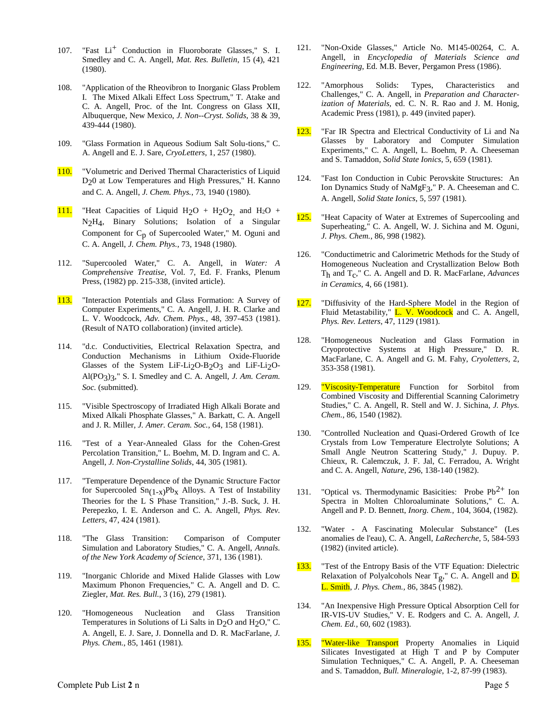- 107. "Fast Li<sup>+</sup> Conduction in Fluoroborate Glasses," S. I. Smedley and C. A. Angell, *Mat. Res. Bulletin*, 15 (4), 421 (1980).
- 108. "Application of the Rheovibron to Inorganic Glass Problem I. The Mixed Alkali Effect Loss Spectrum," T. Atake and C. A. Angell, Proc. of the Int. Congress on Glass XII, Albuquerque, New Mexico, *J. Non--Cryst. Solids*, 38 & 39, 439-444 (1980).
- 109. "Glass Formation in Aqueous Sodium Salt Solu-tions," C. A. Angell and E. J. Sare, *CryoLetters*, 1, 257 (1980).
- 110. "Volumetric and Derived Thermal Characteristics of Liquid D20 at Low Temperatures and High Pressures," H. Kanno and C. A. Angell, *J. Chem. Phys.*, 73, 1940 (1980).
- 111. "Heat Capacities of Liquid  $H_2O + H_2O_2$  and  $H_2O +$ N2H4, Binary Solutions; Isolation of a Singular Component for Cp of Supercooled Water," M. Oguni and C. A. Angell, *J. Chem. Phys.*, 73, 1948 (1980).
- 112. "Supercooled Water," C. A. Angell, in *Water: A Comprehensive Treatise*, Vol. 7, Ed. F. Franks, Plenum Press, (1982) pp. 215-338, (invited article).
- 113. "Interaction Potentials and Glass Formation: A Survey of Computer Experiments," C. A. Angell, J. H. R. Clarke and L. V. Woodcock, *Adv. Chem. Phys.*, 48, 397-453 (1981). (Result of NATO collaboration) (invited article).
- 114. "d.c. Conductivities, Electrical Relaxation Spectra, and Conduction Mechanisms in Lithium Oxide-Fluoride Glasses of the System LiF-Li<sub>2</sub>O-B<sub>2</sub>O<sub>3</sub> and LiF-Li<sub>2</sub>O-Al(PO3)3," S. I. Smedley and C. A. Angell, *J. Am. Ceram. Soc.* (submitted).
- 115. "Visible Spectroscopy of Irradiated High Alkali Borate and Mixed Alkali Phosphate Glasses," A. Barkatt, C. A. Angell and J. R. Miller, *J. Amer. Ceram. Soc.*, 64, 158 (1981).
- 116. "Test of a Year-Annealed Glass for the Cohen-Grest Percolation Transition," L. Boehm, M. D. Ingram and C. A. Angell, *J. Non-Crystalline Solids*, 44, 305 (1981).
- 117. "Temperature Dependence of the Dynamic Structure Factor for Supercooled  $Sn(1-x)PbX$  Alloys. A Test of Instability Theories for the L S Phase Transition," J.-B. Suck, J. H. Perepezko, I. E. Anderson and C. A. Angell, *Phys. Rev. Letters*, 47, 424 (1981).
- 118. "The Glass Transition: Comparison of Computer Simulation and Laboratory Studies," C. A. Angell, *Annals. of the New York Academy of Science*, 371, 136 (1981).
- 119. "Inorganic Chloride and Mixed Halide Glasses with Low Maximum Phonon Frequencies," C. A. Angell and D. C. Ziegler, *Mat. Res. Bull.*, 3 (16), 279 (1981).
- 120. "Homogeneous Nucleation and Glass Transition Temperatures in Solutions of Li Salts in D2O and H2O," C. A. Angell, E. J. Sare, J. Donnella and D. R. MacFarlane, *J. Phys. Chem.*, 85, 1461 (1981).
- 121. "Non-Oxide Glasses," Article No. M145-00264, C. A. Angell, in *Encyclopedia of Materials Science and Engineering*, Ed. M.B. Bever, Pergamon Press (1986).
- 122. "Amorphous Solids: Types, Characteristics and Challenges," C. A. Angell, in *Preparation and Characterization of Materials,* ed. C. N. R. Rao and J. M. Honig, Academic Press (1981), p. 449 (invited paper).
- 123. "Far IR Spectra and Electrical Conductivity of Li and Na Glasses by Laboratory and Computer Simulation Experiments," C. A. Angell, L. Boehm, P. A. Cheeseman and S. Tamaddon, *Solid State Ionics*, 5, 659 (1981).
- 124. "Fast Ion Conduction in Cubic Perovskite Structures: An Ion Dynamics Study of NaMgF3," P. A. Cheeseman and C. A. Angell, *Solid State Ionics*, 5, 597 (1981).
- 125. "Heat Capacity of Water at Extremes of Supercooling and Superheating," C. A. Angell, W. J. Sichina and M. Oguni, *J. Phys. Chem.*, 86, 998 (1982).
- 126. "Conductimetric and Calorimetric Methods for the Study of Homogeneous Nucleation and Crystallization Below Both Th and Tc ," C. A. Angell and D. R. MacFarlane, *Advances in Ceramics*, 4, 66 (1981).
- 127. "Diffusivity of the Hard-Sphere Model in the Region of Fluid Metastability," L. V. Woodcock and C. A. Angell, *Phys. Rev. Letters*, 47, 1129 (1981).
- 128. "Homogeneous Nucleation and Glass Formation in Cryoprotective Systems at High Pressure," D. R. MacFarlane, C. A. Angell and G. M. Fahy, *Cryoletters*, 2, 353-358 (1981).
- 129. "Viscosity-Temperature Function for Sorbitol from Combined Viscosity and Differential Scanning Calorimetry Studies," C. A. Angell, R. Stell and W. J. Sichina, *J. Phys. Chem.*, 86, 1540 (1982).
- 130. "Controlled Nucleation and Quasi-Ordered Growth of Ice Crystals from Low Temperature Electrolyte Solutions; A Small Angle Neutron Scattering Study," J. Dupuy. P. Chieux, R. Calemczuk, J. F. Jal, C. Ferradou, A. Wright and C. A. Angell, *Nature*, 296, 138-140 (1982).
- 131. "Optical vs. Thermodynamic Basicities: Probe  $Pb^{2+}$  Ion Spectra in Molten Chloroaluminate Solutions," C. A. Angell and P. D. Bennett, *Inorg. Chem.,* 104, 3604, (1982).
- 132. "Water A Fascinating Molecular Substance" (Les anomalies de l'eau), C. A. Angell, *LaRecherche*, 5, 584-593 (1982) (invited article).
- 133. "Test of the Entropy Basis of the VTF Equation: Dielectric Relaxation of Polyalcohols Near Tg," C. A. Angell and D. L. Smith, *J. Phys. Chem.,* 86, 3845 (1982).
- 134. "An Inexpensive High Pressure Optical Absorption Cell for IR-VIS-UV Studies," V. E. Rodgers and C. A. Angell, *J. Chem. Ed.*, 60, 602 (1983).
- 135. "Water-like Transport Property Anomalies in Liquid Silicates Investigated at High T and P by Computer Simulation Techniques," C. A. Angell, P. A. Cheeseman and S. Tamaddon, *Bull. Mineralogie*, 1-2, 87-99 (1983).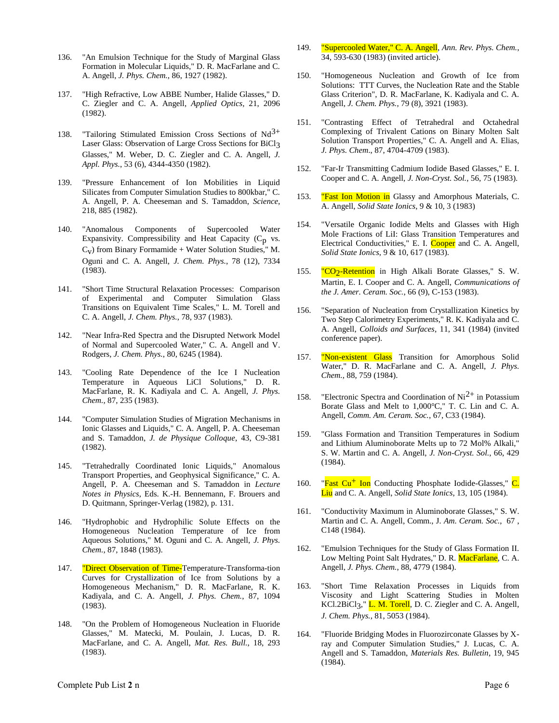- 136. "An Emulsion Technique for the Study of Marginal Glass Formation in Molecular Liquids," D. R. MacFarlane and C. A. Angell, *J. Phys. Chem.*, 86, 1927 (1982).
- 137. "High Refractive, Low ABBE Number, Halide Glasses," D. C. Ziegler and C. A. Angell, *Applied Optics*, 21, 2096 (1982).
- 138. "Tailoring Stimulated Emission Cross Sections of  $Nd^{3+}$ Laser Glass: Observation of Large Cross Sections for BiCl3 Glasses," M. Weber, D. C. Ziegler and C. A. Angell, *J. Appl. Phys.*, 53 (6), 4344-4350 (1982).
- 139. "Pressure Enhancement of Ion Mobilities in Liquid Silicates from Computer Simulation Studies to 800kbar," C. A. Angell, P. A. Cheeseman and S. Tamaddon, *Science*, 218, 885 (1982).
- 140. "Anomalous Components of Supercooled Water Expansivity. Compressibility and Heat Capacity  $(C_p$  vs.  $C_V$ ) from Binary Formamide + Water Solution Studies," M. Oguni and C. A. Angell, *J. Chem. Phys.*, 78 (12), 7334 (1983).
- 141. "Short Time Structural Relaxation Processes: Comparison of Experimental and Computer Simulation Glass Transitions on Equivalent Time Scales," L. M. Torell and C. A. Angell, *J. Chem. Phys.*, 78, 937 (1983).
- 142. "Near Infra-Red Spectra and the Disrupted Network Model of Normal and Supercooled Water," C. A. Angell and V. Rodgers, *J. Chem. Phys.*, 80, 6245 (1984).
- 143. "Cooling Rate Dependence of the Ice I Nucleation Temperature in Aqueous LiCl Solutions," D. R. MacFarlane, R. K. Kadiyala and C. A. Angell, *J. Phys. Chem.*, 87, 235 (1983).
- 144. "Computer Simulation Studies of Migration Mechanisms in Ionic Glasses and Liquids," C. A. Angell, P. A. Cheeseman and S. Tamaddon, *J. de Physique Colloque*, 43, C9-381 (1982).
- 145. "Tetrahedrally Coordinated Ionic Liquids," Anomalous Transport Properties, and Geophysical Significance," C. A. Angell, P. A. Cheeseman and S. Tamaddon in *Lecture Notes in Physics*, Eds. K.-H. Bennemann, F. Brouers and D. Quitmann, Springer-Verlag (1982), p. 131.
- 146. "Hydrophobic and Hydrophilic Solute Effects on the Homogeneous Nucleation Temperature of Ice from Aqueous Solutions," M. Oguni and C. A. Angell, *J. Phys. Chem.*, 87, 1848 (1983).
- 147. **"Direct Observation of Time-Temperature-Transforma-tion** Curves for Crystallization of Ice from Solutions by a Homogeneous Mechanism," D. R. MacFarlane, R. K. Kadiyala, and C. A. Angell, *J. Phys. Chem.*, 87, 1094 (1983).
- 148. "On the Problem of Homogeneous Nucleation in Fluoride Glasses," M. Matecki, M. Poulain, J. Lucas, D. R. MacFarlane, and C. A. Angell, *Mat. Res. Bull.*, 18, 293 (1983).
- 149. "Supercooled Water," C. A. Angell, *Ann. Rev. Phys. Chem.*, 34, 593-630 (1983) (invited article).
- 150. "Homogeneous Nucleation and Growth of Ice from Solutions: TTT Curves, the Nucleation Rate and the Stable Glass Criterion", D. R. MacFarlane, K. Kadiyala and C. A. Angell, *J. Chem. Phys.*, 79 (8), 3921 (1983).
- 151. "Contrasting Effect of Tetrahedral and Octahedral Complexing of Trivalent Cations on Binary Molten Salt Solution Transport Properties," C. A. Angell and A. Elias, *J. Phys. Chem*., 87, 4704-4709 (1983).
- 152. "Far-Ir Transmitting Cadmium Iodide Based Glasses," E. I. Cooper and C. A. Angell, *J. Non-Cryst. Sol.*, 56, 75 (1983).
- 153. **"Fast Ion Motion in** Glassy and Amorphous Materials, C. A. Angell, *Solid State Ionics*, 9 & 10, 3 (1983)
- 154. "Versatile Organic Iodide Melts and Glasses with High Mole Fractions of LiI: Glass Transition Temperatures and Electrical Conductivities," E. I. Cooper and C. A. Angell, *Solid State Ionics*, 9 & 10, 617 (1983).
- 155. "CO<sub>2</sub>-Retention in High Alkali Borate Glasses," S. W. Martin, E. I. Cooper and C. A. Angell, *Communications of the J. Amer. Ceram. Soc.*, 66 (9), C-153 (1983).
- 156. "Separation of Nucleation from Crystallization Kinetics by Two Step Calorimetry Experiments," R. K. Kadiyala and C. A. Angell, *Colloids and Surfaces*, 11, 341 (1984) (invited conference paper).
- 157. **"Non-existent Glass** Transition for Amorphous Solid Water," D. R. MacFarlane and C. A. Angell, *J. Phys. Chem.*, 88, 759 (1984).
- 158. "Electronic Spectra and Coordination of  $Ni<sup>2+</sup>$  in Potassium Borate Glass and Melt to 1,000°C," T. C. Lin and C. A. Angell, *Comm. Am. Ceram. Soc.*, 67, C33 (1984).
- 159. "Glass Formation and Transition Temperatures in Sodium and Lithium Aluminoborate Melts up to 72 Mol% Alkali," S. W. Martin and C. A. Angell, *J. Non-Cryst. Sol.*, 66, 429 (1984).
- 160. "Fast  $Cu<sup>+</sup>$  Ion Conducting Phosphate Iodide-Glasses,"  $C$ . Liu and C. A. Angell, *Solid State Ionics*, 13, 105 (1984).
- 161. "Conductivity Maximum in Aluminoborate Glasses," S. W. Martin and C. A. Angell, Comm., J*. Am. Ceram. Soc.*, 67 , C148 (1984).
- 162. "Emulsion Techniques for the Study of Glass Formation II. Low Melting Point Salt Hydrates," D. R. MacFarlane, C. A. Angell, *J. Phys. Chem.*, 88, 4779 (1984).
- 163. "Short Time Relaxation Processes in Liquids from Viscosity and Light Scattering Studies in Molten KCl.2BiCl<sub>3</sub>," **L. M. Torell**, D. C. Ziegler and C. A. Angell, *J. Chem. Phys.*, 81, 5053 (1984).
- 164. "Fluoride Bridging Modes in Fluorozirconate Glasses by Xray and Computer Simulation Studies," J. Lucas, C. A. Angell and S. Tamaddon, *Materials Res. Bulletin*, 19, 945 (1984).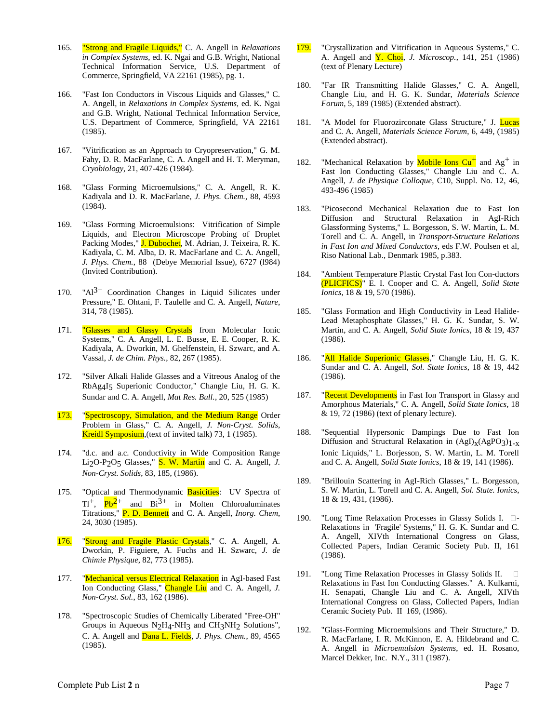- 165. "Strong and Fragile Liquids," C. A. Angell in *Relaxations in Complex Systems,* ed. K. Ngai and G.B. Wright, National Technical Information Service, U.S. Department of Commerce, Springfield, VA 22161 (1985), pg. 1.
- 166. "Fast Ion Conductors in Viscous Liquids and Glasses," C. A. Angell, in *Relaxations in Complex Systems,* ed. K. Ngai and G.B. Wright, National Technical Information Service, U.S. Department of Commerce, Springfield, VA 22161 (1985).
- 167. "Vitrification as an Approach to Cryopreservation," G. M. Fahy, D. R. MacFarlane, C. A. Angell and H. T. Meryman, *Cryobiology*, 21, 407-426 (1984).
- 168. "Glass Forming Microemulsions," C. A. Angell, R. K. Kadiyala and D. R. MacFarlane, *J. Phys. Chem.*, 88, 4593 (1984).
- 169. "Glass Forming Microemulsions: Vitrification of Simple Liquids, and Electron Microscope Probing of Droplet Packing Modes," **J. Dubochet**, M. Adrian, J. Teixeira, R. K. Kadiyala, C. M. Alba, D. R. MacFarlane and C. A. Angell, *J. Phys. Chem.*, 88 (Debye Memorial Issue), 6727 (l984) (Invited Contribution).
- 170. " $Al^{3+}$  Coordination Changes in Liquid Silicates under Pressure," E. Ohtani, F. Taulelle and C. A. Angell, *Nature*, 314, 78 (1985).
- 171. "Glasses and Glassy Crystals from Molecular Ionic Systems," C. A. Angell, L. E. Busse, E. E. Cooper, R. K. Kadiyala, A. Dworkin, M. Ghelfenstein, H. Szwarc, and A. Vassal, *J. de Chim. Phys.*, 82, 267 (1985).
- 172. "Silver Alkali Halide Glasses and a Vitreous Analog of the RbAg4I5 Superionic Conductor," Changle Liu, H. G. K. Sundar and C. A. Angell, *Mat Res. Bull.*, 20, 525 (1985)
- 173. "Spectroscopy, Simulation, and the Medium Range Order Problem in Glass," C. A. Angell, *J. Non-Cryst. Solids*, Kreidl Symposium, (text of invited talk) 73, 1 (1985).
- 174. "d.c. and a.c. Conductivity in Wide Composition Range Li2O-P2O5 Glasses," S. W. Martin and C. A. Angell, *J. Non-Cryst. Solids*, 83, 185, (1986).
- 175. "Optical and Thermodynamic Basicities: UV Spectra of  $TI^+$ ,  $Pb^2$ <sup>+</sup> and  $Bi^{3+}$  in Molten Chloroaluminates Titrations," P. D. Bennett and C. A. Angell, *Inorg. Chem*, 24, 3030 (1985).
- 176. "Strong and Fragile Plastic Crystals," C. A. Angell, A. Dworkin, P. Figuiere, A. Fuchs and H. Szwarc, *J. de Chimie Physique*, 82, 773 (1985).
- 177. "Mechanical versus Electrical Relaxation in AgI-based Fast Ion Conducting Glass," Changle Liu and C. A. Angell, *J. Non-Cryst. Sol.*, 83, 162 (1986).
- 178. "Spectroscopic Studies of Chemically Liberated "Free-OH" Groups in Aqueous N2H4-NH3 and CH3NH2 Solutions", C. A. Angell and Dana L. Fields, *J. Phys. Chem.*, 89, 4565 (1985).
- 179. "Crystallization and Vitrification in Aqueous Systems," C. A. Angell and Y. Choi, *J. Microscop.*, 141, 251 (1986) (text of Plenary Lecture)
- 180. "Far IR Transmitting Halide Glasses," C. A. Angell, Changle Liu, and H. G. K. Sundar, *Materials Science Forum*, 5, 189 (1985) (Extended abstract).
- 181. "A Model for Fluorozirconate Glass Structure," J. Lucas and C. A. Angell, *Materials Science Forum*, 6, 449, (1985) (Extended abstract).
- 182. "Mechanical Relaxation by **Mobile Ions Cu<sup>+</sup>** and Ag<sup>+</sup> in Fast Ion Conducting Glasses," Changle Liu and C. A. Angell, *J. de Physique Colloque*, C10, Suppl. No. 12, 46, 493-496 (1985)
- 183. "Picosecond Mechanical Relaxation due to Fast Ion Diffusion and Structural Relaxation in AgI-Rich Glassforming Systems," L. Borgesson, S. W. Martin, L. M. Torell and C. A. Angell, in *Transport-Structure Relations in Fast Ion and Mixed Conductors*, eds F.W. Poulsen et al, Riso National Lab., Denmark 1985, p.383.
- 184. "Ambient Temperature Plastic Crystal Fast Ion Con-ductors (PLICFICS)" E. I. Cooper and C. A. Angell, *Solid State Ionics*, 18 & 19, 570 (1986).
- 185. "Glass Formation and High Conductivity in Lead Halide-Lead Metaphosphate Glasses," H. G. K. Sundar, S. W. Martin, and C. A. Angell, *Solid State Ionics*, 18 & 19, 437 (1986).
- 186. "All Halide Superionic Glasses," Changle Liu, H. G. K. Sundar and C. A. Angell, *Sol. State Ionics*, 18 & 19, 442 (1986).
- 187. "Recent Developments in Fast Ion Transport in Glassy and Amorphous Materials," C. A. Angell, *Solid State Ionics*, 18 & 19, 72 (1986) (text of plenary lecture).
- 188. "Sequential Hypersonic Dampings Due to Fast Ion Diffusion and Structural Relaxation in  $(AgI)_X(AgPO_3)_{1-X}$ Ionic Liquids," L. Borjesson, S. W. Martin, L. M. Torell and C. A. Angell, *Solid State Ionics*, 18 & 19, 141 (1986).
- 189. "Brillouin Scattering in AgI-Rich Glasses," L. Borgesson, S. W. Martin, L. Torell and C. A. Angell, *Sol. State. Ionics*, 18 & 19, 431, (1986).
- 190. "Long Time Relaxation Processes in Glassy Solids I.  $\square$ -Relaxations in 'Fragile' Systems," H. G. K. Sundar and C. A. Angell, XIVth International Congress on Glass, Collected Papers, Indian Ceramic Society Pub. II, 161 (1986).
- 191. "Long Time Relaxation Processes in Glassy Solids II. Relaxations in Fast Ion Conducting Glasses." A. Kulkarni, H. Senapati, Changle Liu and C. A. Angell, XIVth International Congress on Glass, Collected Papers, Indian Ceramic Society Pub. II 169, (1986).
- 192. "Glass-Forming Microemulsions and Their Structure," D. R. MacFarlane, I. R. McKinnon, E. A. Hildebrand and C. A. Angell in *Microemulsion Systems*, ed. H. Rosano, Marcel Dekker, Inc. N.Y., 311 (1987).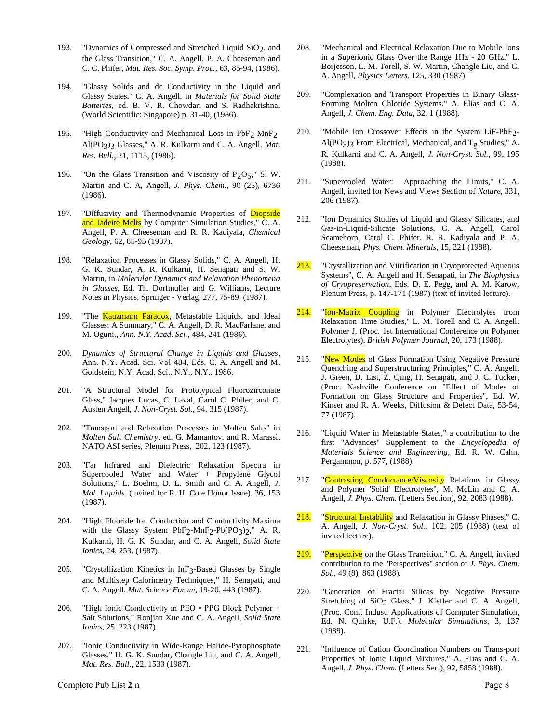- 193. "Dynamics of Compressed and Stretched Liquid SiO<sub>2</sub>, and the Glass Transition," C. A. Angell, P. A. Cheeseman and C. C. Phifer, *Mat. Res. Soc. Symp. Proc.*, 63, 85-94, (1986).
- 194. "Glassy Solids and dc Conductivity in the Liquid and Glassy States," C. A. Angell, in *Materials for Solid State Batteries*, ed. B. V. R. Chowdari and S. Radhakrishna, (World Scientific: Singapore) p. 31-40, (1986).
- 195. "High Conductivity and Mechanical Loss in PbF2-MnF2- Al(PO3)3 Glasses," A. R. Kulkarni and C. A. Angell, *Mat. Res. Bull.*, 21, 1115, (1986).
- 196. "On the Glass Transition and Viscosity of P<sub>2</sub>O<sub>5</sub>," S. W. Martin and C. A, Angell, *J. Phys. Chem.*, 90 (25), 6736 (1986).
- 197. "Diffusivity and Thermodynamic Properties of Diopside and Jadeite Melts by Computer Simulation Studies," C. A. Angell, P. A. Cheeseman and R. R. Kadiyala, *Chemical Geology*, 62, 85-95 (1987).
- 198. "Relaxation Processes in Glassy Solids," C. A. Angell, H. G. K. Sundar, A. R. Kulkarni, H. Senapati and S. W. Martin, in *Molecular Dynamics and Relaxation Phenomena in Glasses*, Ed. Th. Dorfmuller and G. Williams, Lecture Notes in Physics, Springer - Verlag, 277, 75-89, (1987).
- 199. "The **Kauzmann Paradox**, Metastable Liquids, and Ideal Glasses: A Summary," C. A. Angell, D. R. MacFarlane, and M. Oguni., *Ann. N.Y. Acad. Sci.*, 484, 241 (1986).
- 200. *Dynamics of Structural Change in Liquids and Glasses*, Ann. N.Y. Acad. Sci. Vol 484, Eds. C. A. Angell and M. Goldstein, N.Y. Acad. Sci., N.Y., N.Y., 1986.
- 201. "A Structural Model for Prototypical Fluorozirconate Glass," Jacques Lucas, C. Laval, Carol C. Phifer, and C. Austen Angell, *J. Non-Cryst. Sol.*, 94, 315 (1987).
- 202. "Transport and Relaxation Processes in Molten Salts" in *Molten Salt Chemistry,* ed. G. Mamantov, and R. Marassi, NATO ASI series, Plenum Press, 202, 123 (1987).
- 203. "Far Infrared and Dielectric Relaxation Spectra in Supercooled Water and Water + Propylene Glycol Solutions," L. Boehm, D. L. Smith and C. A. Angell, *J. Mol. Liquids*, (invited for R. H. Cole Honor Issue), 36, 153 (1987).
- 204. "High Fluoride Ion Conduction and Conductivity Maxima with the Glassy System PbF<sub>2</sub>-MnF<sub>2</sub>-Pb(PO<sub>3</sub>)<sub>2</sub>," A. R. Kulkarni, H. G. K. Sundar, and C. A. Angell, *Solid State Ionics,* 24, 253, (1987).
- 205. "Crystallization Kinetics in InF3-Based Glasses by Single and Multistep Calorimetry Techniques," H. Senapati, and C. A. Angell, *Mat. Science Forum*, 19-20, 443 (1987).
- 206. "High Ionic Conductivity in PEO PPG Block Polymer + Salt Solutions," Ronjian Xue and C. A. Angell, *Solid State Ionics*, 25, 223 (1987).
- 207. "Ionic Conductivity in Wide-Range Halide-Pyrophosphate Glasses," H. G. K. Sundar, Changle Liu, and C. A. Angell, *Mat. Res. Bull.*, 22, 1533 (1987).
- 208. "Mechanical and Electrical Relaxation Due to Mobile Ions in a Superionic Glass Over the Range 1Hz - 20 GHz," L. Borjesson, L. M. Torell, S. W. Martin, Changle Liu, and C. A. Angell, *Physics Letters*, 125, 330 (1987).
- 209. "Complexation and Transport Properties in Binary Glass-Forming Molten Chloride Systems," A. Elias and C. A. Angell, *J. Chem. Eng. Data*, 32, 1 (1988).
- 210. "Mobile Ion Crossover Effects in the System LiF-PbF2- Al(PO3)3 From Electrical, Mechanical, and  $T_g$  Studies," A. R. Kulkarni and C. A. Angell, *J. Non-Cryst. Sol.*, 99, 195 (1988).
- 211. "Supercooled Water: Approaching the Limits," C. A. Angell, invited for News and Views Section of *Nature*, 331, 206 (1987).
- 212. "Ion Dynamics Studies of Liquid and Glassy Silicates, and Gas-in-Liquid-Silicate Solutions, C. A. Angell, Carol Scamehorn, Carol C. Phifer, R. R. Kadiyala and P. A. Cheeseman, *Phys. Chem. Minerals*, 15, 221 (1988).
- 213. "Crystallization and Vitrification in Cryoprotected Aqueous Systems", C. A. Angell and H. Senapati, in *The Biophysics of Cryopreservation*, Eds. D. E. Pegg, and A. M. Karow, Plenum Press, p. 147-171 (1987) (text of invited lecture).
- 214. "Ion-Matrix Coupling in Polymer Electrolytes from Relaxation Time Studies," L. M. Torell and C. A. Angell, Polymer J. (Proc. 1st International Conference on Polymer Electrolytes), *British Polymer Journal*, 20, 173 (1988).
- 215. "New Modes of Glass Formation Using Negative Pressure Quenching and Superstructuring Principles," C. A. Angell, J. Green, D. List, Z. Qing, H. Senapati, and J. C. Tucker, (Proc. Nashville Conference on "Effect of Modes of Formation on Glass Structure and Properties", Ed. W. Kinser and R. A. Weeks, Diffusion & Defect Data, 53-54, 77 (1987).
- 216. "Liquid Water in Metastable States," a contribution to the first "Advances" Supplement to the *Encyclopedia of Materials Science and Engineering*, Ed. R. W. Cahn, Pergammon, p. 577, (1988).
- 217. "Contrasting Conductance/Viscosity Relations in Glassy and Polymer 'Solid' Electrolytes", M. McLin and C. A. Angell, *J. Phys. Chem.* (Letters Section), 92, 2083 (1988).
- 218. "Structural Instability and Relaxation in Glassy Phases," C. A. Angell, *J. Non-Cryst. Sol.,* 102, 205 (1988) (text of invited lecture).
- 219. "Perspective on the Glass Transition," C. A. Angell, invited contribution to the "Perspectives" section of *J. Phys. Chem. Sol.*, 49 (8), 863 (1988).
- 220. "Generation of Fractal Silicas by Negative Pressure Stretching of SiO<sub>2</sub> Glass," J. Kieffer and C. A. Angell, (Proc. Conf. Indust. Applications of Computer Simulation, Ed. N. Quirke, U.F.). *Molecular Simulations*, 3, 137 (1989).
- 221. "Influence of Cation Coordination Numbers on Trans-port Properties of Ionic Liquid Mixtures," A. Elias and C. A. Angell, *J. Phys. Chem.* (Letters Sec.), 92, 5858 (1988).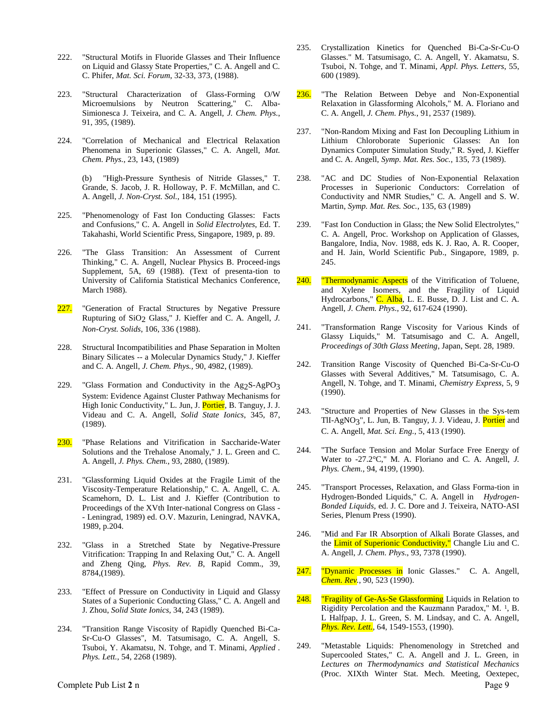- 222. "Structural Motifs in Fluoride Glasses and Their Influence on Liquid and Glassy State Properties," C. A. Angell and C. C. Phifer, *Mat. Sci. Forum*, 32-33, 373, (1988).
- 223. "Structural Characterization of Glass-Forming O/W Microemulsions by Neutron Scattering," C. Alba-Simionesca J. Teixeira, and C. A. Angell, *J. Chem. Phys.*, 91, 395, (1989).
- 224. "Correlation of Mechanical and Electrical Relaxation Phenomena in Superionic Glasses," C. A. Angell, *Mat. Chem. Phys.*, 23, 143, (1989)

(b) "High-Pressure Synthesis of Nitride Glasses," T. Grande, S. Jacob, J. R. Holloway, P. F. McMillan, and C. A. Angell, *J. Non-Cryst. Sol.*, 184, 151 (1995).

- 225. "Phenomenology of Fast Ion Conducting Glasses: Facts and Confusions," C. A. Angell in *Solid Electrolytes*, Ed. T. Takahashi, World Scientific Press, Singapore, 1989, p. 89.
- 226. "The Glass Transition: An Assessment of Current Thinking," C. A. Angell, Nuclear Physics B. Proceed-ings Supplement, 5A, 69 (1988). (Text of presenta-tion to University of California Statistical Mechanics Conference, March 1988).
- 227. "Generation of Fractal Structures by Negative Pressure Rupturing of SiO<sub>2</sub> Glass," J. Kieffer and C. A. Angell, *J. Non-Cryst. Solids*, 106, 336 (1988).
- 228. Structural Incompatibilities and Phase Separation in Molten Binary Silicates -- a Molecular Dynamics Study," J. Kieffer and C. A. Angell, *J. Chem. Phys.,* 90, 4982, (1989).
- 229. "Glass Formation and Conductivity in the  $Ag_2S-AgPO_3$ System: Evidence Against Cluster Pathway Mechanisms for High Ionic Conductivity," L. Jun, J. Portier, B. Tanguy, J. J. Videau and C. A. Angell, *Solid State Ionics*, 345, 87, (1989).
- 230. "Phase Relations and Vitrification in Saccharide-Water Solutions and the Trehalose Anomaly," J. L. Green and C. A. Angell, *J. Phys. Chem.*, 93, 2880, (1989).
- 231. "Glassforming Liquid Oxides at the Fragile Limit of the Viscosity-Temperature Relationship," C. A. Angell, C. A. Scamehorn, D. L. List and J. Kieffer (Contribution to Proceedings of the XVth Inter-national Congress on Glass - - Leningrad, 1989) ed. O.V. Mazurin, Leningrad, NAVKA, 1989, p.204.
- 232. "Glass in a Stretched State by Negative-Pressure Vitrification: Trapping In and Relaxing Out," C. A. Angell and Zheng Qing, *Phys. Rev. B*, Rapid Comm., 39, 8784,(1989).
- 233. "Effect of Pressure on Conductivity in Liquid and Glassy States of a Superionic Conducting Glass," C. A. Angell and J. Zhou, *Solid State Ionics*, 34, 243 (1989).
- 234. "Transition Range Viscosity of Rapidly Quenched Bi-Ca-Sr-Cu-O Glasses", M. Tatsumisago, C. A. Angell, S. Tsuboi, Y. Akamatsu, N. Tohge, and T. Minami, *Applied . Phys. Lett.,* 54, 2268 (1989).
- 235. Crystallization Kinetics for Quenched Bi-Ca-Sr-Cu-O Glasses." M. Tatsumisago, C. A. Angell, Y. Akamatsu, S. Tsuboi, N. Tohge, and T. Minami, *Appl. Phys. Letters*, 55, 600 (1989).
- 236. "The Relation Between Debye and Non-Exponential Relaxation in Glassforming Alcohols," M. A. Floriano and C. A. Angell, *J. Chem. Phys.*, 91, 2537 (1989).
- 237. "Non-Random Mixing and Fast Ion Decoupling Lithium in Lithium Chloroborate Superionic Glasses: An Ion Dynamics Computer Simulation Study," R. Syed, J. Kieffer and C. A. Angell, *Symp. Mat. Res. Soc.*, 135, 73 (1989).
- 238. "AC and DC Studies of Non-Exponential Relaxation Processes in Superionic Conductors: Correlation of Conductivity and NMR Studies," C. A. Angell and S. W. Martin, *Symp. Mat. Res. Soc.*, 135, 63 (1989)
- 239. "Fast Ion Conduction in Glass; the New Solid Electrolytes," C. A. Angell, Proc. Workshop on Application of Glasses, Bangalore, India, Nov. 1988, eds K. J. Rao, A. R. Cooper, and H. Jain, World Scientific Pub., Singapore, 1989, p. 245.
- 240. Thermodynamic Aspects of the Vitrification of Toluene, and Xylene Isomers, and the Fragility of Liquid Hydrocarbons," C. Alba, L. E. Busse, D. J. List and C. A. Angell, *J. Chem. Phys*., 92, 617-624 (1990).
- 241. "Transformation Range Viscosity for Various Kinds of Glassy Liquids," M. Tatsumisago and C. A. Angell, *Proceedings of 30th Glass Meeting*, Japan, Sept. 28, 1989.
- 242. Transition Range Viscosity of Quenched Bi-Ca-Sr-Cu-O Glasses with Several Additives," M. Tatsumisago, C. A. Angell, N. Tohge, and T. Minami, *Chemistry Express*, 5, 9 (1990).
- 243. "Structure and Properties of New Glasses in the Sys-tem TlI-AgNO3", L. Jun, B. Tanguy, J. J. Videau, J. Portier and C. A. Angell, *Mat. Sci. Eng.*, 5, 413 (1990).
- 244. "The Surface Tension and Molar Surface Free Energy of Water to -27.2°C," M. A. Floriano and C. A. Angell, *J. Phys. Chem.*, 94, 4199, (1990).
- 245. "Transport Processes, Relaxation, and Glass Forma-tion in Hydrogen-Bonded Liquids," C. A. Angell in *Hydrogen-Bonded Liquids,* ed. J. C. Dore and J. Teixeira, NATO-ASI Series, Plenum Press (1990).
- 246. "Mid and Far IR Absorption of Alkali Borate Glasses, and the **Limit of Superionic Conductivity,"** Changle Liu and C. A. Angell, *J. Chem. Phys*., 93, 7378 (1990).
- 247. "Dynamic Processes in Ionic Glasses." C. A. Angell, *Chem. Rev.*, 90, 523 (1990).
- 248. "Fragility of Ge-As-Se Glassforming Liquids in Relation to Rigidity Percolation and the Kauzmann Paradox," M. <sup>1</sup> , B. L Halfpap, J. L. Green, S. M. Lindsay, and C. A. Angell, *Phys. Rev. Lett.*, 64, 1549-1553, (1990).
- 249. "Metastable Liquids: Phenomenology in Stretched and Supercooled States," C. A. Angell and J. L. Green, in *Lectures on Thermodynamics and Statistical Mechanics* (Proc. XIXth Winter Stat. Mech. Meeting, Oextepec,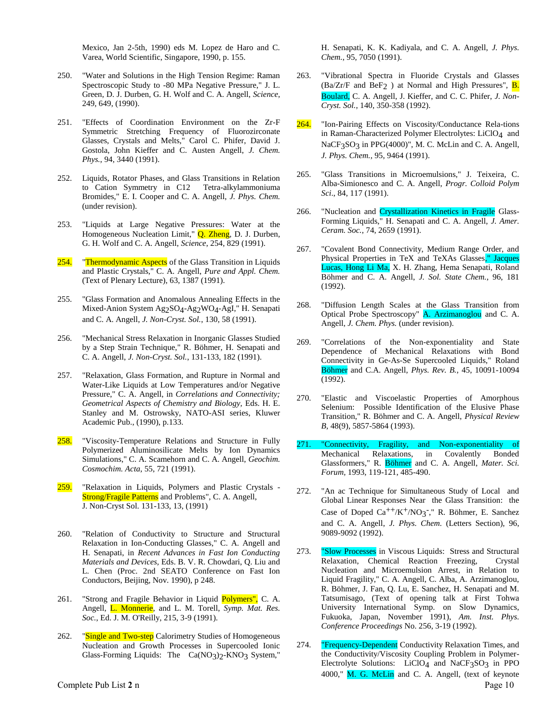Mexico, Jan 2-5th, 1990) eds M. Lopez de Haro and C. Varea, World Scientific, Singapore, 1990, p. 155.

- 250. "Water and Solutions in the High Tension Regime: Raman Spectroscopic Study to -80 MPa Negative Pressure," J. L. Green, D. J. Durben, G. H. Wolf and C. A. Angell, *Science*, 249, 649, (1990).
- 251. "Effects of Coordination Environment on the Zr-F Symmetric Stretching Frequency of Fluorozirconate Glasses, Crystals and Melts," Carol C. Phifer, David J. Gostola, John Kieffer and C. Austen Angell, *J. Chem. Phys.*, 94, 3440 (1991).
- 252. Liquids, Rotator Phases, and Glass Transitions in Relation to Cation Symmetry in C12 Tetra-alkylammoniuma Bromides," E. I. Cooper and C. A. Angell, *J. Phys. Chem.* (under revision).
- 253. "Liquids at Large Negative Pressures: Water at the Homogeneous Nucleation Limit," **Q. Zheng**, D. J. Durben, G. H. Wolf and C. A. Angell, *Science*, 254, 829 (1991).
- 254. "Thermodynamic Aspects of the Glass Transition in Liquids and Plastic Crystals," C. A. Angell, *Pure and Appl. Chem.* (Text of Plenary Lecture), 63, 1387 (1991).
- 255. "Glass Formation and Anomalous Annealing Effects in the Mixed-Anion System Ag<sub>2</sub>SO<sub>4</sub>-Ag<sub>2</sub>WO<sub>4</sub>-AgI," H. Senapati and C. A. Angell, *J. Non-Cryst. Sol.*, 130, 58 (1991).
- 256. "Mechanical Stress Relaxation in Inorganic Glasses Studied by a Step Strain Technique," R. Böhmer, H. Senapati and C. A. Angell, *J. Non-Cryst. Sol.*, 131-133, 182 (1991).
- 257. "Relaxation, Glass Formation, and Rupture in Normal and Water-Like Liquids at Low Temperatures and/or Negative Pressure," C. A. Angell, in *Correlations and Connectivity; Geometrical Aspects of Chemistry and Biology,* Eds. H. E. Stanley and M. Ostrowsky, NATO-ASI series, Kluwer Academic Pub., (1990), p.133.
- 258. "Viscosity-Temperature Relations and Structure in Fully Polymerized Aluminosilicate Melts by Ion Dynamics Simulations," C. A. Scamehorn and C. A. Angell, *Geochim. Cosmochim. Acta*, 55, 721 (1991).
- 259. "Relaxation in Liquids, Polymers and Plastic Crystals -Strong/Fragile Patterns and Problems", C. A. Angell, J. Non-Cryst Sol. 131-133, 13, (1991)
- 260. "Relation of Conductivity to Structure and Structural Relaxation in Ion-Conducting Glasses," C. A. Angell and H. Senapati, in *Recent Advances in Fast Ion Conducting Materials and Devices,* Eds. B. V. R. Chowdari, Q. Liu and L. Chen (Proc. 2nd SEATO Conference on Fast Ion Conductors, Beijing, Nov. 1990), p 248.
- 261. "Strong and Fragile Behavior in Liquid Polymers", C. A. Angell, L. Monnerie, and L. M. Torell, *Symp. Mat. Res. Soc.*, Ed. J. M. O'Reilly, 215, 3-9 (1991).
- 262. "Single and Two-step Calorimetry Studies of Homogeneous Nucleation and Growth Processes in Supercooled Ionic Glass-Forming Liquids: The  $Ca(NO<sub>3</sub>)<sub>2</sub>$ -KNO<sub>3</sub> System,"

H. Senapati, K. K. Kadiyala, and C. A. Angell, *J. Phys. Chem.*, 95, 7050 (1991).

- 263. "Vibrational Spectra in Fluoride Crystals and Glasses (Ba/Zr/F and  $\text{BeF}_2$ ) at Normal and High Pressures",  $\overline{\mathbf{B}}$ . Boulard, C. A. Angell, J. Kieffer, and C. C. Phifer, *J. Non-Cryst. Sol.*, 140, 350-358 (1992).
- 264. "Ion-Pairing Effects on Viscosity/Conductance Rela-tions in Raman-Characterized Polymer Electrolytes: LiClO4 and NaCF3SO3 in PPG(4000)", M. C. McLin and C. A. Angell, *J. Phys. Chem.*, 95, 9464 (1991).
- 265. "Glass Transitions in Microemulsions," J. Teixeira, C. Alba-Simionesco and C. A. Angell, *Progr. Colloid Polym Sci*., 84, 117 (1991).
- 266. "Nucleation and *Crystallization Kinetics in Fragile Glass-*Forming Liquids," H. Senapati and C. A. Angell, *J. Amer. Ceram. Soc.*, 74, 2659 (1991).
- 267. "Covalent Bond Connectivity, Medium Range Order, and Physical Properties in TeX and TeXAs Glasses," Jacques Lucas, Hong Li Ma, X. H. Zhang, Hema Senapati, Roland Böhmer and C. A. Angell, *J. Sol. State Chem.*, 96, 181 (1992).
- 268. "Diffusion Length Scales at the Glass Transition from Optical Probe Spectroscopy" A. Arzimanoglou and C. A. Angell, *J. Chem. Phys.* (under revision).
- 269. "Correlations of the Non-exponentiality and State Dependence of Mechanical Relaxations with Bond Connectivity in Ge-As-Se Supercooled Liquids," Roland Böhmer and C.A. Angell, *Phys. Rev. B.*, 45, 10091-10094 (1992).
- 270. "Elastic and Viscoelastic Properties of Amorphous Selenium: Possible Identification of the Elusive Phase Transition," R. Böhmer and C. A. Angell, *Physical Review B,* 48(9), 5857-5864 (1993).
- 271. "Connectivity, Fragility, and Non-exponentiality of Mechanical Relaxations, in Covalently Bonded Glassformers," R. Böhmer and C. A. Angell, *Mater. Sci. Forum,* 1993, 119-121, 485-490.
- 272. "An ac Technique for Simultaneous Study of Local and Global Linear Responses Near the Glass Transition: the Case of Doped Ca<sup>++</sup>/K<sup>+</sup>/NO<sub>3</sub><sup>-</sup>," R. Böhmer, E. Sanchez and C. A. Angell, *J. Phys. Chem.* (Letters Section), 96, 9089-9092 (1992).
- 273. "Slow Processes in Viscous Liquids: Stress and Structural Relaxation, Chemical Reaction Freezing, Crystal Nucleation and Microemulsion Arrest, in Relation to Liquid Fragility," C. A. Angell, C. Alba, A. Arzimanoglou, R. Böhmer, J. Fan, Q. Lu, E. Sanchez, H. Senapati and M. Tatsumisago, (Text of opening talk at First Tohwa University International Symp. on Slow Dynamics, Fukuoka, Japan, November 1991), *Am. Inst. Phys. Conference Proceedings* No. 256, 3-19 (1992).
- Complete Pub List 2 n Page 10 274. **"Frequency-Dependent** Conductivity Relaxation Times, and the Conductivity/Viscosity Coupling Problem in Polymer-Electrolyte Solutions: LiClO<sub>4</sub> and NaCF3SO3 in PPO 4000," M. G. McLin and C. A. Angell, (text of keynote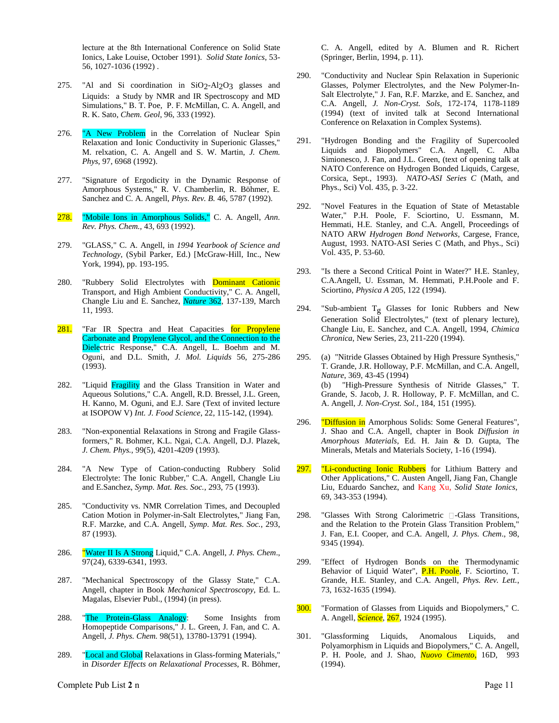lecture at the 8th International Conference on Solid State Ionics, Lake Louise, October 1991). *Solid State Ionics*, 53- 56, 1027-1036 (1992) .

- 275. "Al and Si coordination in  $SiO_2$ -Al<sub>2</sub>O<sub>3</sub> glasses and Liquids: a Study by NMR and IR Spectroscopy and MD Simulations," B. T. Poe, P. F. McMillan, C. A. Angell, and R. K. Sato, *Chem. Geol*, 96, 333 (1992).
- 276. "A New Problem in the Correlation of Nuclear Spin Relaxation and Ionic Conductivity in Superionic Glasses," M. relxation, C. A. Angell and S. W. Martin, *J. Chem. Phys*, 97, 6968 (1992).
- 277. "Signature of Ergodicity in the Dynamic Response of Amorphous Systems," R. V. Chamberlin, R. Böhmer, E. Sanchez and C. A. Angell, *Phys. Rev. B.* 46, 5787 (1992).
- 278. "Mobile Ions in Amorphous Solids," C. A. Angell, *Ann. Rev. Phys. Chem.,* 43, 693 (1992).
- 279. "GLASS," C. A. Angell, in *1994 Yearbook of Science and Technology*, (Sybil Parker, Ed.) [McGraw-Hill, Inc., New York, 1994), pp. 193-195.
- 280. "Rubbery Solid Electrolytes with Dominant Cationic Transport, and High Ambient Conductivity," C. A. Angell, Changle Liu and E. Sanchez, *Nature* 362, 137-139, March 11, 1993.
- 281. "Far IR Spectra and Heat Capacities for Propylene Carbonate and Propylene Glycol, and the Connection to the Dielectric Response," C.A. Angell, L. Boehm and M. Oguni, and D.L. Smith, *J. Mol. Liquids* 56, 275-286 (1993).
- 282. "Liquid Fragility and the Glass Transition in Water and Aqueous Solutions," C.A. Angell, R.D. Bressel, J.L. Green, H. Kanno, M. Oguni, and E.J. Sare (Text of invited lecture at ISOPOW V) *Int. J. Food Science*, 22, 115-142, (1994).
- 283. "Non-exponential Relaxations in Strong and Fragile Glassformers," R. Bohmer, K.L. Ngai, C.A. Angell, D.J. Plazek, *J. Chem. Phys.,* 99(5), 4201-4209 (1993).
- 284. "A New Type of Cation-conducting Rubbery Solid Electrolyte: The Ionic Rubber," C.A. Angell, Changle Liu and E.Sanchez, *Symp. Mat. Res. Soc.*, 293, 75 (1993).
- 285. "Conductivity vs. NMR Correlation Times, and Decoupled Cation Motion in Polymer-in-Salt Electrolytes," Jiang Fan, R.F. Marzke, and C.A. Angell, *Symp. Mat. Res. Soc.*, 293, 87 (1993).
- 286. "Water II Is A Strong Liquid," C.A. Angell, *J. Phys. Chem*., 97(24), 6339-6341, 1993.
- 287. "Mechanical Spectroscopy of the Glassy State," C.A. Angell, chapter in Book *Mechanical Spectroscopy*, Ed. L. Magalas, Elsevier Publ., (1994) (in press).
- 288. "The Protein-Glass Analogy: Some Insights from Homopeptide Comparisons," J. L. Green, J. Fan, and C. A. Angell, *J. Phys. Chem.* 98(51), 13780-13791 (1994).
- 289. "Local and Global Relaxations in Glass-forming Materials," in *Disorder Effects on Relaxational Processes*, R. Böhmer,

C. A. Angell, edited by A. Blumen and R. Richert (Springer, Berlin, 1994, p. 11).

- 290. "Conductivity and Nuclear Spin Relaxation in Superionic Glasses, Polymer Electrolytes, and the New Polymer-In-Salt Electrolyte," J. Fan, R.F. Marzke, and E. Sanchez, and C.A. Angell, *J. Non-Cryst. Sols*, 172-174, 1178-1189 (1994) (text of invited talk at Second International Conference on Relaxation in Complex Systems).
- 291. "Hydrogen Bonding and the Fragility of Supercooled Liquids and Biopolymers" C.A. Angell, C. Alba Simionesco, J. Fan, and J.L. Green, (text of opening talk at NATO Conference on Hydrogen Bonded Liquids, Cargese, Corsica, Sept., 1993). *NATO-ASI Series C* (Math, and Phys., Sci) Vol. 435, p. 3-22.
- 292. "Novel Features in the Equation of State of Metastable Water," P.H. Poole, F. Sciortino, U. Essmann, M. Hemmati, H.E. Stanley, and C.A. Angell, Proceedings of NATO ARW *Hydrogen Bond Networks,* Cargese, France, August, 1993. NATO-ASI Series C (Math, and Phys., Sci) Vol. 435, P. 53-60.
- 293. "Is there a Second Critical Point in Water?" H.E. Stanley, C.A.Angell, U. Essman, M. Hemmati, P.H.Poole and F. Sciortino, *Physica A* 205, 122 (1994).
- 294. "Sub-ambient  $T_g$  Glasses for Ionic Rubbers and New Generation Solid Electrolytes," (text of plenary lecture), Changle Liu, E. Sanchez, and C.A. Angell, 1994, *Chimica Chronica*, New Series, 23, 211-220 (1994).
- 295. (a) "Nitride Glasses Obtained by High Pressure Synthesis," T. Grande, J.R. Holloway, P.F. McMillan, and C.A. Angell, *Nature*, 369, 43-45 (1994) (b) "High-Pressure Synthesis of Nitride Glasses," T. Grande, S. Jacob, J. R. Holloway, P. F. McMillan, and C. A. Angell, *J. Non-Cryst. Sol.*, 184, 151 (1995).
- 296. "Diffusion in Amorphous Solids: Some General Features", J. Shao and C.A. Angell, chapter in Book *Diffusion in Amorphous Materials*, Ed. H. Jain & D. Gupta, The Minerals, Metals and Materials Society, 1-16 (1994).
- 297. "Li-conducting Ionic Rubbers for Lithium Battery and Other Applications," C. Austen Angell, Jiang Fan, Changle Liu, Eduardo Sanchez, and Kang Xu, *Solid State Ionics*, 69, 343-353 (1994).
- 298. "Glasses With Strong Calorimetric  $\Box$ -Glass Transitions, and the Relation to the Protein Glass Transition Problem," J. Fan, E.I. Cooper, and C.A. Angell, *J. Phys. Chem*., 98, 9345 (1994).
- 299. "Effect of Hydrogen Bonds on the Thermodynamic Behavior of Liquid Water", P.H. Poole, F. Sciortino, T. Grande, H.E. Stanley, and C.A. Angell, *Phys. Rev. Lett.*, 73, 1632-1635 (1994).
- 300. "Formation of Glasses from Liquids and Biopolymers," C. A. Angell, *Science*, 267, 1924 (1995).
- 301. "Glassforming Liquids, Anomalous Liquids, and Polyamorphism in Liquids and Biopolymers," C. A. Angell, P. H. Poole, and J. Shao, *Nuovo Cimento*, 16D, 993 (1994).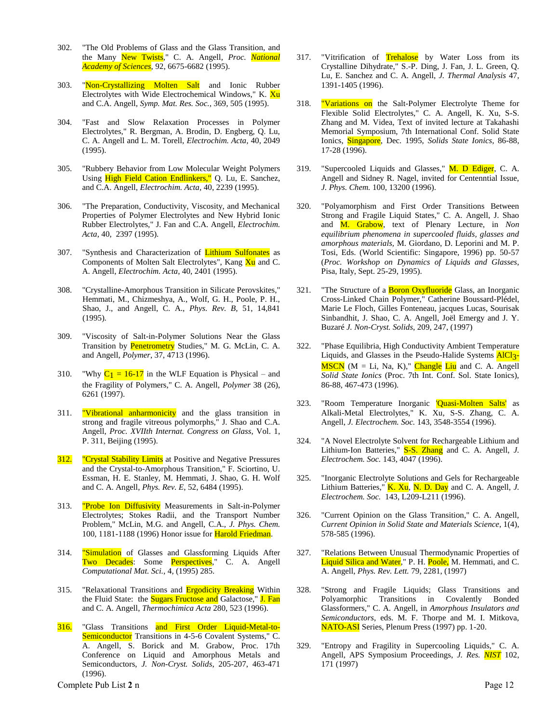- 302. "The Old Problems of Glass and the Glass Transition, and the Many New Twists," C. A. Angell, *Proc. National Academy of Sciences*, 92, 6675-6682 (1995).
- 303. "Non-Crystallizing Molten Salt and Ionic Rubber Electrolytes with Wide Electrochemical Windows," K. Xu and C.A. Angell, *Symp. Mat. Res. Soc.*, 369, 505 (1995).
- 304. "Fast and Slow Relaxation Processes in Polymer Electrolytes," R. Bergman, A. Brodin, D. Engberg, Q. Lu, C. A. Angell and L. M. Torell, *Electrochim. Acta,* 40, 2049 (1995).
- 305. "Rubbery Behavior from Low Molecular Weight Polymers Using High Field Cation Endlinkers," Q. Lu, E. Sanchez, and C.A. Angell, *Electrochim. Acta,* 40, 2239 (1995).
- 306. "The Preparation, Conductivity, Viscosity, and Mechanical Properties of Polymer Electrolytes and New Hybrid Ionic Rubber Electrolytes," J. Fan and C.A. Angell, *Electrochim. Acta*, 40, 2397 (1995).
- 307. "Synthesis and Characterization of Lithium Sulfonates as Components of Molten Salt Electrolytes", Kang Xu and C. A. Angell, *Electrochim. Acta*, 40, 2401 (1995).
- 308. "Crystalline-Amorphous Transition in Silicate Perovskites," Hemmati, M., Chizmeshya, A., Wolf, G. H., Poole, P. H., Shao, J., and Angell, C. A., *Phys. Rev. B,* 51, 14,841 (1995)*.*
- 309. "Viscosity of Salt-in-Polymer Solutions Near the Glass Transition by Penetrometry Studies," M. G. McLin, C. A. and Angell, *Polymer*, 37, 4713 (1996).
- 310. "Why  $C_1 = 16-17$  in the WLF Equation is Physical and the Fragility of Polymers," C. A. Angell, *Polymer* 38 (26), 6261 (1997).
- 311. **"Vibrational anharmonicity** and the glass transition in strong and fragile vitreous polymorphs," J. Shao and C.A. Angell, *Proc. XVIIth Internat. Congress on Glass*, Vol. 1, P. 311, Beijing (1995).
- 312. "Crystal Stability Limits at Positive and Negative Pressures and the Crystal-to-Amorphous Transition," F. Sciortino, U. Essman, H. E. Stanley, M. Hemmati, J. Shao, G. H. Wolf and C. A. Angell, *Phys. Rev. E*, 52, 6484 (1995).
- 313. "Probe Ion Diffusivity Measurements in Salt-in-Polymer Electrolytes; Stokes Radii, and the Transport Number Problem," McLin, M.G. and Angell, C.A., *J. Phys. Chem.* 100, 1181-1188 (1996) Honor issue for Harold Friedman.
- 314. **"Simulation** of Glasses and Glassforming Liquids After Two Decades: Some Perspectives," C. A. Angell *Computational Mat. Sci.,* 4, (1995) 285.
- 315. "Relaxational Transitions and **Ergodicity Breaking** Within the Fluid State: the **Sugars Fructose and** Galactose," **J. Fan** and C. A. Angell, *Thermochimica Acta* 280, 523 (1996).
- 316. "Glass Transitions and First Order Liquid-Metal-to-Semiconductor Transitions in 4-5-6 Covalent Systems," C. A. Angell, S. Borick and M. Grabow, Proc. 17th Conference on Liquid and Amorphous Metals and Semiconductors, *J. Non-Cryst. Solids*, 205-207, 463-471 (1996).

Complete Pub List 2 n Page 12

- 317. "Vitrification of Trehalose by Water Loss from its Crystalline Dihydrate," S.-P. Ding, J. Fan, J. L. Green, Q. Lu, E. Sanchez and C. A. Angell, *J. Thermal Analysis* 47, 1391-1405 (1996).
- 318. "Variations on the Salt-Polymer Electrolyte Theme for Flexible Solid Electrolytes," C. A. Angell, K. Xu, S-S. Zhang and M. Videa, Text of invited lecture at Takahashi Memorial Symposium, 7th International Conf. Solid State Ionics, Singapore, Dec. 1995, *Solids State Ionics*, 86-88, 17-28 (1996).
- 319. "Supercooled Liquids and Glasses," M. D Ediger, C. A. Angell and Sidney R. Nagel, invited for Centenntial Issue, *J. Phys. Chem.* 100, 13200 (1996).
- 320. "Polyamorphism and First Order Transitions Between Strong and Fragile Liquid States," C. A. Angell, J. Shao and M. Grabow, text of Plenary Lecture, in *Non equilibrium phenomena in supercooled fluids, glasses and amorphous materials,* M. Giordano, D. Leporini and M. P. Tosi, Eds. (World Scientific: Singapore, 1996) pp. 50-57 (*Proc. Workshop on Dynamics of Liquids and Glasses,* Pisa, Italy, Sept. 25-29, 1995).
- 321. "The Structure of a **Boron Oxyfluoride** Glass, an Inorganic Cross-Linked Chain Polymer," Catherine Boussard-Plédel, Marie Le Floch, Gilles Fonteneau, jacques Lucas, Sourisak Sinbandhit, J. Shao, C. A. Angell, Joël Emergy and J. Y. Buzaré *J. Non-Cryst. Solids*, 209, 247, (1997)
- 322. "Phase Equilibria, High Conductivity Ambient Temperature Liquids, and Glasses in the Pseudo-Halide Systems AlCl<sub>3</sub>- $MSCN$  (M = Li, Na, K)," Changle Liu and C. A. Angell *Solid State Ionics* (Proc. 7th Int. Conf. Sol. State Ionics), 86-88, 467-473 (1996).
- 323. "Room Temperature Inorganic 'Quasi-Molten Salts' as Alkali-Metal Electrolytes," K. Xu, S-S. Zhang, C. A. Angell, *J. Electrochem. Soc.* 143, 3548-3554 (1996).
- 324. "A Novel Electrolyte Solvent for Rechargeable Lithium and Lithium-Ion Batteries," S-S. Zhang and C. A. Angell, *J. Electrochem. Soc.* 143, 4047 (1996).
- 325. "Inorganic Electrolyte Solutions and Gels for Rechargeable Lithium Batteries," **K. Xu, N. D. Day** and C. A. Angell, *J. Electrochem. Soc.* 143, L209-L211 (1996).
- 326. "Current Opinion on the Glass Transition," C. A. Angell, *Current Opinion in Solid State and Materials Science*, 1(4), 578-585 (1996).
- 327. "Relations Between Unusual Thermodynamic Properties of Liquid Silica and Water," P. H. Poole, M. Hemmati, and C. A. Angell, *Phys. Rev. Lett.* 79, 2281, (1997)
- 328. "Strong and Fragile Liquids; Glass Transitions and Polyamorphic Transitions in Covalently Bonded Glassformers," C. A. Angell, in *Amorphous Insulators and Semiconductors*, eds. M. F. Thorpe and M. I. Mitkova, NATO-ASI Series, Plenum Press (1997) pp. 1-20.
- 329. "Entropy and Fragility in Supercooling Liquids," C. A. Angell, APS Symposium Proceedings, *J. Res. NIST* 102, 171 (1997)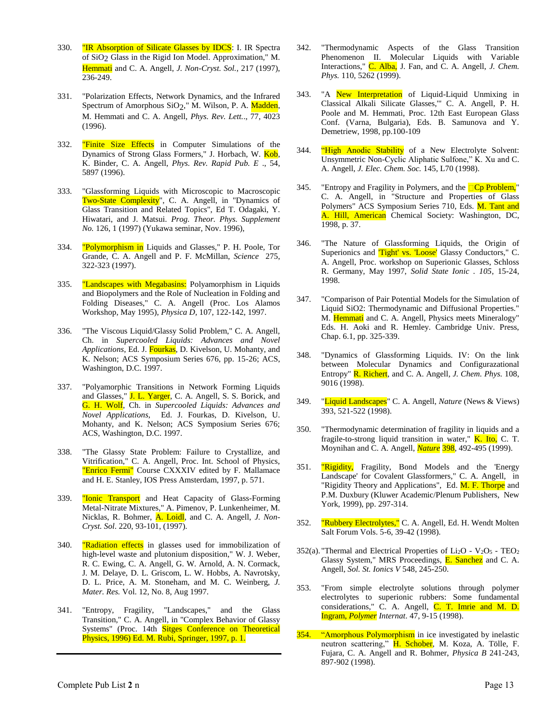- 330. **"IR Absorption of Silicate Glasses by IDCS**: I. IR Spectra of SiO2 Glass in the Rigid Ion Model. Approximation," M. Hemmati and C. A. Angell, *J. Non-Cryst. Sol.*, 217 (1997), 236-249.
- 331. "Polarization Effects, Network Dynamics, and the Infrared Spectrum of Amorphous SiO<sub>2</sub>," M. Wilson, P. A. Madden, M. Hemmati and C. A. Angell, *Phys. Rev. Lett.*., 77, 4023 (1996).
- 332. "Finite Size Effects in Computer Simulations of the Dynamics of Strong Glass Formers," J. Horbach, W. Kob, K. Binder, C. A. Angell, *Phys. Rev. Rapid Pub. E* ., 54, 5897 (1996).
- 333. "Glassforming Liquids with Microscopic to Macroscopic Two-State Complexity", C. A. Angell, in "Dynamics of Glass Transition and Related Topics", Ed T. Odagaki, Y. Hiwatari, and J. Matsui. *Prog. Theor. Phys. Supplement No.* 126, 1 (1997) (Yukawa seminar, Nov. 1996),
- 334. "Polymorphism in Liquids and Glasses," P. H. Poole, Tor Grande, C. A. Angell and P. F. McMillan, *Science* 275, 322-323 (1997).
- 335. "Landscapes with Megabasins: Polyamorphism in Liquids and Biopolymers and the Role of Nucleation in Folding and Folding Diseases," C. A. Angell (Proc. Los Alamos Workshop, May 1995), *Physica D,* 107, 122-142, 1997.
- 336. "The Viscous Liquid/Glassy Solid Problem," C. A. Angell, Ch. in *Supercooled Liquids: Advances and Novel Applications*, Ed. J. Fourkas, D. Kivelson, U. Mohanty, and K. Nelson; ACS Symposium Series 676, pp. 15-26; ACS, Washington, D.C. 1997.
- 337. "Polyamorphic Transitions in Network Forming Liquids and Glasses," J. L. Yarger, C. A. Angell, S. S. Borick, and G. H. Wolf, Ch. in *Supercooled Liquids: Advances and Novel Applications*, Ed. J. Fourkas, D. Kivelson, U. Mohanty, and K. Nelson; ACS Symposium Series 676; ACS, Washington, D.C. 1997.
- 338. "The Glassy State Problem: Failure to Crystallize, and Vitrification," C. A. Angell, Proc. Int. School of Physics, "Enrico Fermi" Course CXXXIV edited by F. Mallamace and H. E. Stanley, IOS Press Amsterdam, 1997, p. 571.
- 339. "Ionic Transport and Heat Capacity of Glass-Forming Metal-Nitrate Mixtures," A. Pimenov, P. Lunkenheimer, M. Nicklas, R. Bohmer, **A. Loidl**, and C. A. Angell, *J. Non-Cryst. Sol*. 220, 93-101, (1997).
- 340. **"Radiation effects** in glasses used for immobilization of high-level waste and plutonium disposition," W. J. Weber, R. C. Ewing, C. A. Angell, G. W. Arnold, A. N. Cormack, J. M. Delaye, D. L. Griscom, L. W. Hobbs, A. Navrotsky, D. L. Price, A. M. Stoneham, and M. C. Weinberg, *J. Mater. Res.* Vol. 12, No. 8, Aug 1997.
- 341. "Entropy, Fragility, "Landscapes," and the Glass Transition," C. A. Angell, in "Complex Behavior of Glassy Systems" (Proc. 14th Sitges Conference on Theoretical Physics, 1996) Ed. M. Rubi, Springer, 1997, p. 1.
- 342. "Thermodynamic Aspects of the Glass Transition Phenomenon II. Molecular Liquids with Variable Interactions," C. Alba, J. Fan, and C. A. Angell, *J. Chem. Phys.* 110, 5262 (1999).
- 343. "A New Interpretation of Liquid-Liquid Unmixing in Classical Alkali Silicate Glasses,'" C. A. Angell, P. H. Poole and M. Hemmati, Proc. 12th East European Glass Conf. (Varna, Bulgaria), Eds. B. Samunova and Y. Demetriew, 1998, pp.100-109
- 344. "High Anodic Stability of a New Electrolyte Solvent: Unsymmetric Non-Cyclic Aliphatic Sulfone," K. Xu and C. A. Angell, *J. Elec. Chem. Soc.* 145, L70 (1998).
- 345. "Entropy and Fragility in Polymers, and the  $\Box$ Cp Problem," C. A. Angell, in "Structure and Properties of Glass Polymers" ACS Symposium Series 710, Eds. M. Tant and A. Hill, American Chemical Society: Washington, DC, 1998, p. 37.
- 346. "The Nature of Glassforming Liquids, the Origin of Superionics and *Tight' vs. 'Loose'* Glassy Conductors," C. A. Angell, Proc. workshop on Superionic Glasses, Schloss R. Germany, May 1997, *Solid State Ionic . 105*, 15-24, 1998.
- 347. "Comparison of Pair Potential Models for the Simulation of Liquid SiO2: Thermodynamic and Diffusional Properties." M. Hemmati and C. A. Angell, Physics meets Mineralogy" Eds. H. Aoki and R. Hemley. Cambridge Univ. Press, Chap. 6.1, pp. 325-339.
- 348. "Dynamics of Glassforming Liquids. IV: On the link between Molecular Dynamics and Configurazational Entropy" R. Richert, and C. A. Angell*, J. Chem. Phys.* 108, 9016 (1998).
- 349. "Liquid Landscapes" C. A. Angell, *Nature* (News & Views) 393, 521-522 (1998).
- 350. "Thermodynamic determination of fragility in liquids and a fragile-to-strong liquid transition in water,"  $\overline{K}$ . Ito, C. T. Moynihan and C. A. Angell, *Nature* 398, 492-495 (1999).
- 351. **"Rigidity,** Fragility, Bond Models and the 'Energy Landscape' for Covalent Glassformers," C. A. Angell, in "Rigidity Theory and Applications", Ed. M. F. Thorpe and P.M. Duxbury (Kluwer Academic/Plenum Publishers, New York, 1999), pp. 297-314.
- 352. "Rubbery Electrolytes," C. A. Angell, Ed. H. Wendt Molten Salt Forum Vols. 5-6, 39-42 (1998).
- $352(a)$ . "Thermal and Electrical Properties of Li<sub>2</sub>O V<sub>2</sub>O<sub>5</sub> TEO<sub>2</sub> Glassy System," MRS Proceedings, E. Sanchez and C. A. Angell, *Sol. St. Ionics V* 548, 245-250.
- 353. "From simple electrolyte solutions through polymer electrolytes to superionic rubbers: Some fundamental considerations," C. A. Angell, C. T. Imrie and M. D. Ingram, *Polymer Internat*. 47, 9-15 (1998).
- 354. "Amorphous Polymorphism in ice investigated by inelastic neutron scattering," H. Schober, M. Koza, A. Tölle, F. Fujara, C. A. Angell and R. Bohmer, *Physica B* 241-243, 897-902 (1998).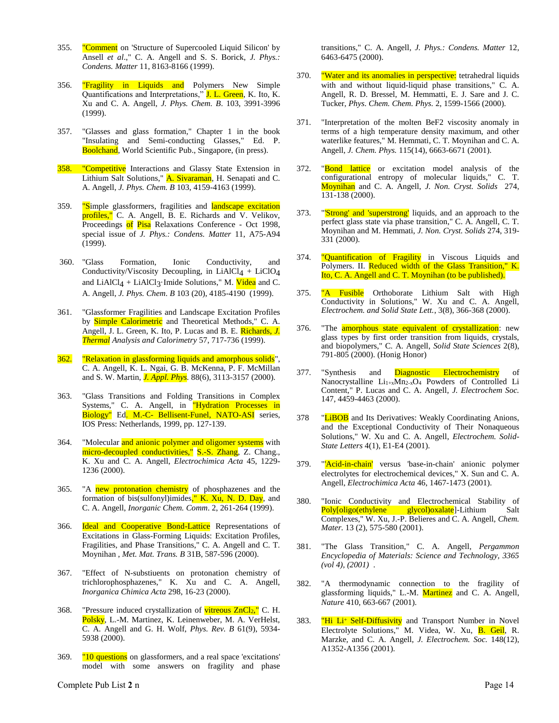- 355. "Comment on 'Structure of Supercooled Liquid Silicon' by Ansell *et al*.," C. A. Angell and S. S. Borick, *J. Phys.: Condens. Matter* 11, 8163-8166 (1999).
- 356. **"Fragility in Liquids and** Polymers New Simple Quantifications and Interpretations," J. L. Green, K. Ito, K. Xu and C. A. Angell, *J. Phys. Chem. B*. 103, 3991-3996 (1999).
- 357. "Glasses and glass formation," Chapter 1 in the book "Insulating and Semi-conducting Glasses," Ed. P. Boolchand, World Scientific Pub., Singapore, (in press).
- 358. "Competitive Interactions and Glassy State Extension in Lithium Salt Solutions," A. Sivaraman, H. Senapati and C. A. Angell, *J. Phys. Chem. B* 103, 4159-4163 (1999).
- 359. "Simple glassformers, fragilities and landscape excitation profiles," C. A. Angell, B. E. Richards and V. Velikov, Proceedings of Pisa Relaxations Conference - Oct 1998, special issue of *J. Phys.: Condens. Matter* 11, A75-A94 (1999).
- 360. "Glass Formation, Ionic Conductivity, and Conductivity/Viscosity Decoupling, in LiAlCl<sub>4</sub> + LiClO<sub>4</sub> and LiAlCl<sub>4</sub> + LiAlCl<sub>3</sub>·Imide Solutions," M. Videa and C. A. Angell, *J. Phys. Chem*. *B* 103 (20), 4185-4190 (1999).
- 361. "Glassformer Fragilities and Landscape Excitation Profiles by **Simple Calorimetric** and Theoretical Methods," C. A. Angell, J. L. Green, K. Ito, P. Lucas and B. E. Richards, *J. Thermal Analysis and Calorimetry* 57, 717-736 (1999).
- 362. "Relaxation in glassforming liquids and amorphous solids", C. A. Angell, K. L. Ngai, G. B. McKenna, P. F. McMillan and S. W. Martin, *J. Appl. Phys.* 88(6), 3113-3157 (2000).
- 363. "Glass Transitions and Folding Transitions in Complex Systems," C. A. Angell, in "Hydration Processes in Biology" Ed. M.-C- Bellisent-Funel, NATO-ASI series, IOS Press: Netherlands, 1999, pp. 127-139.
- 364. "Molecular and anionic polymer and oligomer systems with micro-decoupled conductivities," S.-S. Zhang, Z. Chang., K. Xu and C. A. Angell, *Electrochimica Acta* 45, 1229- 1236 (2000).
- 365. "A new protonation chemistry of phosphazenes and the formation of bis(sulfonyl)imides," K. Xu, N. D. Day, and C. A. Angell, *Inorganic Chem. Comm*. 2, 261-264 (1999).
- 366. **Ideal and Cooperative Bond-Lattice** Representations of Excitations in Glass-Forming Liquids: Excitation Profiles, Fragilities, and Phase Transitions," C. A. Angell and C. T. Moynihan , *Met. Mat. Trans. B* 31B, 587-596 (2000).
- 367. "Effect of N-substiuents on protonation chemistry of trichlorophosphazenes," K. Xu and C. A. Angell, *Inorganica Chimica Acta* 298, 16-23 (2000).
- 368. "Pressure induced crystallization of **vitreous**  $ZnCl<sub>2</sub>$ **.**" C. H. Polsky, L.-M. Martinez, K. Leinenweber, M. A. VerHelst, C. A. Angell and G. H. Wolf, *Phys. Rev. B* 61(9), 5934- 5938 (2000).
- 369. "10 questions on glassformers, and a real space 'excitations' model with some answers on fragility and phase

transitions," C. A. Angell*, J. Phys.: Condens. Matter* 12, 6463-6475 (2000).

- 370. **"Water and its anomalies in perspective:** tetrahedral liquids with and without liquid-liquid phase transitions," C. A. Angell, R. D. Bressel, M. Hemmatti, E. J. Sare and J. C. Tucker, *Phys*. *Chem. Chem. Phys.* 2, 1599-1566 (2000).
- 371. "Interpretation of the molten BeF2 viscosity anomaly in terms of a high temperature density maximum, and other waterlike features," M. Hemmati, C. T. Moynihan and C. A. Angell, *J. Chem. Phys.* 115(14), 6663-6671 (2001).
- 372. "Bond lattice or excitation model analysis of the configurational entropy of molecular liquids," C. T. Moynihan and C. A. Angell, *J. Non. Cryst. Solids* 274, 131-138 (2000).
- 373. "'Strong' and 'superstrong' liquids, and an approach to the perfect glass state via phase transition," C. A. Angell, C. T. Moynihan and M. Hemmati, *J. Non. Cryst. Solids* 274, 319- 331 (2000).
- 374. "Quantification of Fragility in Viscous Liquids and Polymers. II. Reduced width of the Glass Transition," K. Ito, C. A. Angell and C. T. Moynihan (to be published).
- 375. "A Fusible Orthoborate Lithium Salt with High Conductivity in Solutions," W. Xu and C. A. Angell, *Electrochem. and Solid State Lett.*, 3(8), 366-368 (2000).
- 376. "The **amorphous state equivalent of crystallization**: new glass types by first order transition from liquids, crystals, and biopolymers," C. A. Angell, *Solid State Sciences* 2(8), 791-805 (2000). (Honig Honor)
- 377. "Synthesis and Diagnostic Electrochemistry of Nanocrystalline Li<sub>1+x</sub>Mn<sub>2-x</sub>O<sub>4</sub> Powders of Controlled Li Content," P. Lucas and C. A. Angell, *J. Electrochem Soc.* 147, 4459-4463 (2000).
- 378 "LiBOB and Its Derivatives: Weakly Coordinating Anions, and the Exceptional Conductivity of Their Nonaqueous Solutions," W. Xu and C. A. Angell, *Electrochem. Solid-State Letters* 4(1), E1-E4 (2001).
- 379. "'Acid-in-chain' versus 'base-in-chain' anionic polymer electrolytes for electrochemical devices," X. Sun and C. A. Angell, *Electrochimica Acta* 46, 1467-1473 (2001).
- 380. "Ionic Conductivity and Electrochemical Stability of<br> **Polyloligo**(ethylene glycol)oxalate<sup>[</sup>]-Lithium Salt Poly[oligo(ethylene glycol)oxalate]-Lithium Complexes," W. Xu, J.-P. Belieres and C. A. Angell, *Chem. Mater.* 13 (2), 575-580 (2001).
- 381. "The Glass Transition," C. A. Angell, *Pergammon Encyclopedia of Materials: Science and Technology, 3365 (vol 4), (2001)* .
- 382. "A thermodynamic connection to the fragility of glassforming liquids," L.-M. Martinez and C. A. Angell, *Nature* 410, 663-667 (2001).
- 383. "Hi Li<sup>+</sup> Self-Diffusivity and Transport Number in Novel Electrolyte Solutions," M. Videa, W. Xu, B. Geil, R. Marzke, and C. A. Angell, *J. Electrochem. Soc.* 148(12), A1352-A1356 (2001).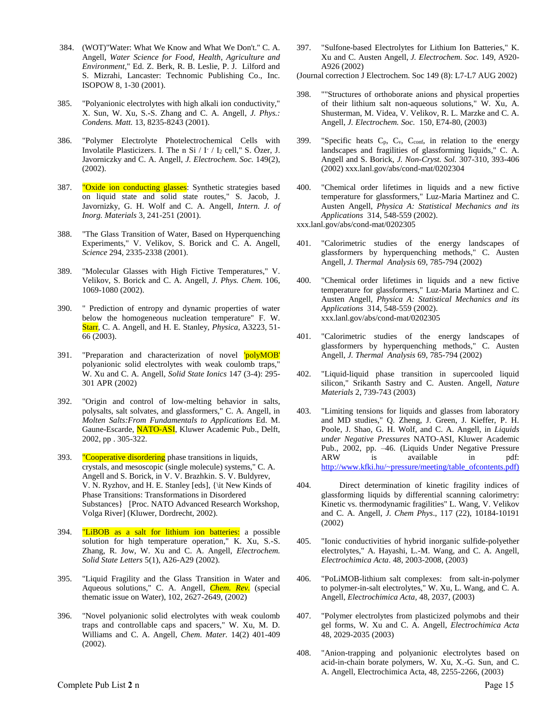- 384. (WOT)"Water: What We Know and What We Don't." C. A. Angell, *Water Science for Food, Health, Agriculture and Environment*," Ed. Z. Berk, R. B. Leslie, P. J. Lilford and S. Mizrahi, Lancaster: Technomic Publishing Co., Inc. ISOPOW 8, 1-30 (2001).
- 385. "Polyanionic electrolytes with high alkali ion conductivity," X. Sun, W. Xu, S.-S. Zhang and C. A. Angell, *J. Phys.: Condens. Matt.* 13, 8235-8243 (2001).
- 386. "Polymer Electrolyte Photelectrochemical Cells with Involatile Plasticizers. I. The n Si / I- / I<sup>2</sup> cell," S. Özer, J. Javorniczky and C. A. Angell, *J. Electrochem. Soc.* 149(2), (2002).
- 387. "Oxide ion conducting glasses: Synthetic strategies based on liquid state and solid state routes," S. Jacob, J. Javornizky, G. H. Wolf and C. A. Angell, *Intern. J. of Inorg. Materials* 3, 241-251 (2001).
- 388. "The Glass Transition of Water, Based on Hyperquenching Experiments," V. Velikov, S. Borick and C. A. Angell, *Science* 294, 2335-2338 (2001).
- 389. "Molecular Glasses with High Fictive Temperatures," V. Velikov, S. Borick and C. A. Angell, *J. Phys. Chem.* 106, 1069-1080 (2002).
- 390. " Prediction of entropy and dynamic properties of water below the homogeneous nucleation temperature" F. W. Starr, C. A. Angell, and H. E. Stanley, *Physica,* A3223, 51- 66 (2003).
- 391. "Preparation and characterization of novel 'polyMOB' polyanionic solid electrolytes with weak coulomb traps," W. Xu and C. A. Angell, *Solid State Ionics* 147 (3-4): 295- 301 APR (2002)
- 392. "Origin and control of low-melting behavior in salts, polysalts, salt solvates, and glassformers," C. A. Angell, in *Molten Salts:From Fundamentals to Applications* Ed. M. Gaune-Escarde, NATO-ASI, Kluwer Academic Pub., Delft, 2002, pp . 305-322.
- 393. "Cooperative disordering phase transitions in liquids, crystals, and mesoscopic (single molecule) systems," C. A. Angell and S. Borick, in V. V. Brazhkin. S. V. Buldyrev, V. N. Ryzhov, and H. E. Stanley [eds], {\it New Kinds of Phase Transitions: Transformations in Disordered Substances} [Proc. NATO Advanced Research Workshop, Volga River] (Kluwer, Dordrecht, 2002).
- 394. "LiBOB as a salt for lithium ion batteries: a possible solution for high temperature operation," K. Xu, S.-S. Zhang, R. Jow, W. Xu and C. A. Angell, *Electrochem. Solid State Letters* 5(1), A26-A29 (2002).
- 395. "Liquid Fragility and the Glass Transition in Water and Aqueous solutions," C. A. Angell, *Chem. Rev.* (special thematic issue on Water), 102, 2627-2649, (2002)
- 396. "Novel polyanionic solid electrolytes with weak coulomb traps and controllable caps and spacers," W. Xu, M. D. Williams and C. A. Angell, *Chem. Mater.* 14(2) 401-409 (2002).

397. "Sulfone-based Electrolytes for Lithium Ion Batteries," K. Xu and C. Austen Angell, *J. Electrochem. Soc.* 149, A920- A926 (2002)

(Journal correction J Electrochem. Soc 149 (8): L7-L7 AUG 2002)

- 398. ""Structures of orthoborate anions and physical properties of their lithium salt non-aqueous solutions," W. Xu, A. Shusterman, M. Videa, V. Velikov, R. L. Marzke and C. A. Angell, *J. Electrochem. Soc.* 150, E74-80, (2003)
- 399. "Specific heats  $C_p$ ,  $C_v$ ,  $C_{conf}$ , in relation to the energy landscapes and fragilities of glassforming liquids," C. A. Angell and S. Borick, *J. Non-Cryst. Sol.* 307-310, 393-406 (2002) xxx.lanl.gov/abs/cond-mat/0202304
- 400. "Chemical order lifetimes in liquids and a new fictive temperature for glassformers," Luz-Maria Martinez and C. Austen Angell, *Physica A: Statistical Mechanics and its Applications* 314, 548-559 (2002).

xxx.lanl.gov/abs/cond-mat/0202305

- 401. "Calorimetric studies of the energy landscapes of glassformers by hyperquenching methods," C. Austen Angell, *J. Thermal Analysis* 69, 785-794 (2002)
- 400. "Chemical order lifetimes in liquids and a new fictive temperature for glassformers," Luz-Maria Martinez and C. Austen Angell, *Physica A: Statistical Mechanics and its Applications* 314, 548-559 (2002). xxx.lanl.gov/abs/cond-mat/0202305
- 401. "Calorimetric studies of the energy landscapes of glassformers by hyperquenching methods," C. Austen Angell, *J. Thermal Analysis* 69, 785-794 (2002)
- 402. "Liquid-liquid phase transition in supercooled liquid silicon," Srikanth Sastry and C. Austen. Angell, *Nature Materials* 2, 739-743 (2003)
- 403. "Limiting tensions for liquids and glasses from laboratory and MD studies," Q. Zheng, J. Green, J. Kieffer, P. H. Poole, J. Shao, G. H. Wolf, and C. A. Angell, in *Liquids under Negative Pressures* NATO-ASI, Kluwer Academic Pub., 2002, pp. –46. (Liquids Under Negative Pressure ARW is available in pdf: [http://www.kfki.hu/~pressure/meeting/table\\_ofcontents.pdf\)](http://www.kfki.hu/~pressure/meeting/table_of_contents.pdf))
- 404. Direct determination of kinetic fragility indices of glassforming liquids by differential scanning calorimetry: Kinetic vs. thermodynamic fragilities" L. Wang, V. Velikov and C. A. Angell, *J. Chem Phys*., 117 (22), 10184-10191 (2002)
- 405. "Ionic conductivities of hybrid inorganic sulfide-polyether electrolytes," A. Hayashi, L.-M. Wang, and C. A. Angell, *Electrochimica Acta*. 48, 2003-2008, (2003)
- 406. "PoLiMOB-lithium salt complexes: from salt-in-polymer to polymer-in-salt electrolytes," W. Xu, L. Wang, and C. A. Angell*, Electrochimica Acta,* 48, 2037, (2003)
- 407. "Polymer electrolytes from plasticized polymobs and their gel forms, W. Xu and C. A. Angell, *Electrochimica Acta* 48, 2029-2035 (2003)
- 408. "Anion-trapping and polyanionic electrolytes based on acid-in-chain borate polymers, W. Xu, X.-G. Sun, and C. A. Angell, Electrochimica Acta, 48, 2255-2266, (2003)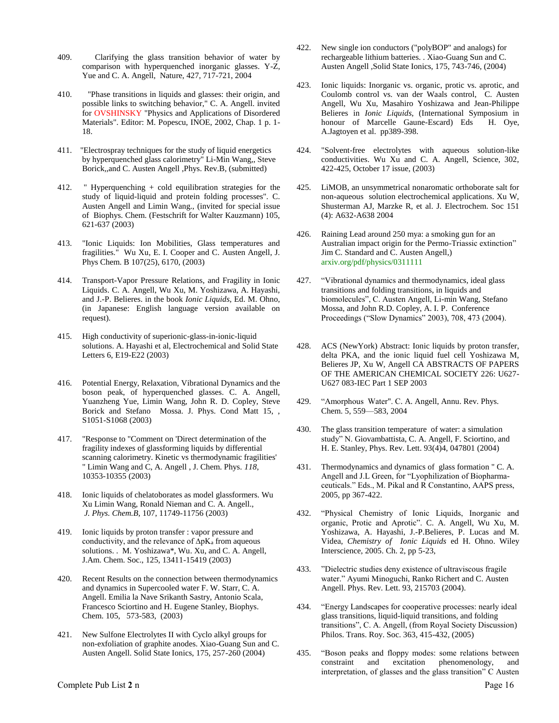- 409. Clarifying the glass transition behavior of water by comparison with hyperquenched inorganic glasses. Y-Z, Yue and C. A. Angell, Nature, 427, 717-721, 2004
- 410. "Phase transitions in liquids and glasses: their origin, and possible links to switching behavior," C. A. Angell. invited for OVSHINSKY "Physics and Applications of Disordered Materials". Editor: M. Popescu, INOE, 2002, Chap. 1 p. 1- 18.
- 411. "Electrospray techniques for the study of liquid energetics by hyperquenched glass calorimetry" Li-Min Wang,, Steve Borick,,and C. Austen Angell ,Phys. Rev.B, (submitted)
- 412. " Hyperquenching + cold equilibration strategies for the study of liquid-liquid and protein folding processes". C. Austen Angell and Limin Wang., (invited for special issue of Biophys. Chem. (Festschrift for Walter Kauzmann) 105, 621-637 (2003)
- 413. "Ionic Liquids: Ion Mobilities, Glass temperatures and fragilities." Wu Xu, E. I. Cooper and C. Austen Angell, J. Phys Chem. B 107(25), 6170, (2003)
- 414. Transport-Vapor Pressure Relations, and Fragility in Ionic Liquids. C. A. Angell, Wu Xu, M. Yoshizawa, A. Hayashi, and J.-P. Belieres. in the book *Ionic Liquids*, Ed. M. Ohno, (in Japanese: English language version available on request).
- 415. High conductivity of superionic-glass-in-ionic-liquid solutions. A. Hayashi et al, Electrochemical and Solid State Letters 6, E19-E22 (2003)
- 416. Potential Energy, Relaxation, Vibrational Dynamics and the boson peak, of hyperquenched glasses. C. A. Angell, Yuanzheng Yue, Limin Wang, John R. D. Copley, Steve Borick and Stefano Mossa. J. Phys. Cond Matt 15, , S1051-S1068 (2003)
- 417. "Response to "Comment on 'Direct determination of the fragility indexes of glassforming liquids by differential scanning calorimetry. Kinetic vs thermodynamic fragilities' " Limin Wang and C, A. Angell , J. Chem. Phys. *118*, 10353-10355 (2003)
- 418. Ionic liquids of chelatoborates as model glassformers. Wu Xu Limin Wang, Ronald Nieman and C. A. Angell., *J. Phys. Chem.B,* 107, 11749-11756 (2003)
- 419. Ionic liquids by proton transfer : vapor pressure and conductivity, and the relevance of ∆pK<sup>a</sup> from aqueous solutions. . M. Yoshizawa\*, Wu. Xu, and C. A. Angell, J.Am. Chem. Soc., 125, 13411-15419 (2003)
- 420. Recent Results on the connection between thermodynamics and dynamics in Supercooled water F. W. Starr, C. A. Angell. Emilia la Nave Srikanth Sastry, Antonio Scala, Francesco Sciortino and H. Eugene Stanley, Biophys. Chem. 105, 573-583, (2003)
- 421. New Sulfone Electrolytes II with Cyclo alkyl groups for non-exfoliation of graphite anodes. Xiao-Guang Sun and C. Austen Angell. Solid State Ionics, 175, 257-260 (2004)
- 422. New single ion conductors ("polyBOP" and analogs) for rechargeable lithium batteries. . Xiao-Guang Sun and C. Austen Angell ,Solid State Ionics, 175, 743-746, (2004)
- 423. Ionic liquids: Inorganic vs. organic, protic vs. aprotic, and Coulomb control vs. van der Waals control, C. Austen Angell, Wu Xu, Masahiro Yoshizawa and Jean-Philippe Belieres in *Ionic Liquids*, (International Symposium in honour of Marcelle Gaune-Escard) Eds H. Oye, A.Jagtoyen et al. pp389-398.
- 424. "Solvent-free electrolytes with aqueous solution-like conductivities. Wu Xu and C. A. Angell, Science, 302, 422-425, October 17 issue, (2003)
- 425. LiMOB, an unsymmetrical nonaromatic orthoborate salt for non-aqueous solution electrochemical applications. Xu W, Shusterman AJ, Marzke R, et al. J. Electrochem. Soc 151 (4): A632-A638 2004
- 426. Raining Lead around 250 mya: a smoking gun for an Australian impact origin for the Permo-Triassic extinction" Jim C. Standard and C. Austen Angell,) arxiv.org/pdf/physics/0311111
- 427. "Vibrational dynamics and thermodynamics, ideal glass transitions and folding transitions, in liquids and biomolecules", C. Austen Angell, Li-min Wang, Stefano Mossa, and John R.D. Copley, A. I. P. Conference Proceedings ("Slow Dynamics" 2003), 708, 473 (2004).
- 428. ACS (NewYork) Abstract: Ionic liquids by proton transfer, delta PKA, and the ionic liquid fuel cell Yoshizawa M, Belieres JP, Xu W, Angell CA ABSTRACTS OF PAPERS OF THE AMERICAN CHEMICAL SOCIETY 226: U627- U627 083-IEC Part 1 SEP 2003
- 429. "Amorphous Water". C. A. Angell, Annu. Rev. Phys. Chem. 5, 559—583, 2004
- 430. The glass transition temperature of water: a simulation study" N. Giovambattista, C. A. Angell, F. Sciortino, and H. E. Stanley, Phys. Rev. Lett. 93(4)4, 047801 (2004)
- 431. Thermodynamics and dynamics of glass formation " C. A. Angell and J.L Green, for "Lyophilization of Biopharmaceuticals." Eds., M. Pikal and R Constantino, AAPS press, 2005, pp 367-422.
- 432. "Physical Chemistry of Ionic Liquids, Inorganic and organic, Protic and Aprotic". C. A. Angell, Wu Xu, M. Yoshizawa, A. Hayashi, J.-P.Belieres, P. Lucas and M. Videa, *Chemistry of Ionic Liquids* ed H. Ohno. Wiley Interscience, 2005. Ch. 2, pp 5-23,
- 433. "Dielectric studies deny existence of ultraviscous fragile water." Ayumi Minoguchi, Ranko Richert and C. Austen Angell. Phys. Rev. Lett. 93, 215703 (2004).
- 434. "Energy Landscapes for cooperative processes: nearly ideal glass transitions, liquid-liquid transitions, and folding transitions", C. A. Angell, (from Royal Society Discussion) Philos. Trans. Roy. Soc. 363, 415-432, (2005)
- 435. "Boson peaks and floppy modes: some relations between constraint and excitation phenomenology, and interpretation, of glasses and the glass transition" C Austen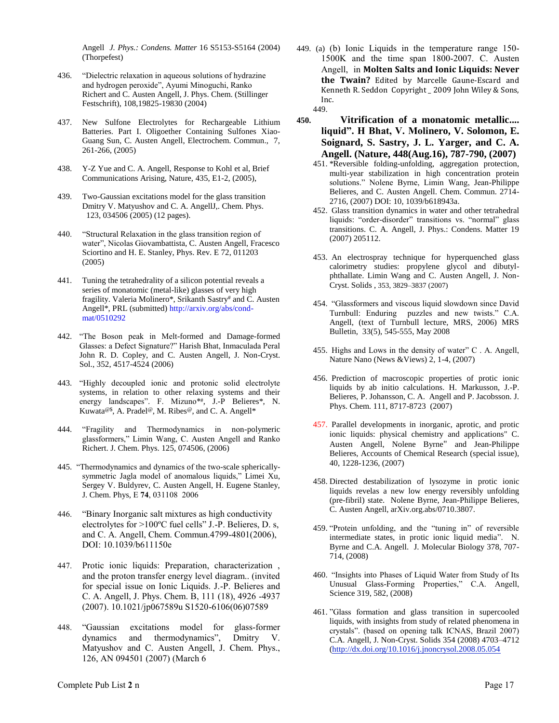Angell *J. Phys.: Condens. Matter* 16 S5153-S5164 (2004) (Thorpefest)

- 436. "Dielectric relaxation in aqueous solutions of hydrazine and hydrogen peroxide", Ayumi Minoguchi, Ranko Richert and C. Austen Angell, J. Phys. Chem. (Stillinger Festschrift), 108,19825-19830 (2004)
- 437. New Sulfone Electrolytes for Rechargeable Lithium Batteries. Part I. Oligoether Containing Sulfones Xiao-Guang Sun, C. Austen Angell, Electrochem. Commun., 7, 261-266, (2005)
- 438. Y-Z Yue and C. A. Angell, Response to Kohl et al, Brief Communications Arising, Nature, 435, E1-2, (2005),
- 439. Two-Gaussian excitations model for the glass transition Dmitry V. Matyushov and C. A. AngellJ,. Chem. Phys. 123, 034506 (2005) (12 pages).
- 440. "Structural Relaxation in the glass transition region of water", Nicolas Giovambattista, C. Austen Angell, Fracesco Sciortino and H. E. Stanley, Phys. Rev. E 72, 011203 (2005)
- 441. Tuning the tetrahedrality of a silicon potential reveals a series of monatomic (metal-like) glasses of very high fragility. Valeria Molinero\*, Srikanth Sastry# and C. Austen Angell\*, PRL (submitted) http://arxiv.org/abs/condmat/0510292
- 442. "The Boson peak in Melt-formed and Damage-formed Glasses: a Defect Signature?" Harish Bhat, Inmaculada Peral John R. D. Copley, and C. Austen Angell, J. Non-Cryst. Sol., 352, 4517-4524 (2006)
- 443. "Highly decoupled ionic and protonic solid electrolyte systems, in relation to other relaxing systems and their energy landscapes". F. Mizuno<sup>\*#</sup>, J.-P Belieres<sup>\*</sup>, N. Kuwata<sup>@\$</sup>, A. Pradel<sup>@</sup>, M. Ribes<sup>@</sup>, and C. A. Angell\*
- 444. "Fragility and Thermodynamics in non-polymeric glassformers," Limin Wang, C. Austen Angell and Ranko Richert. J. Chem. Phys. 125, 074506, (2006)
- 445. "Thermodynamics and dynamics of the two-scale sphericallysymmetric Jagla model of anomalous liquids," Limei Xu, Sergey V. Buldyrev, C. Austen Angell, H. Eugene Stanley, J. Chem. Phys, E **74**, 031108 2006
- 446. "Binary Inorganic salt mixtures as high conductivity electrolytes for >100ºC fuel cells" J.-P. Belieres, D. s, and C. A. Angell, Chem. Commun.4799-4801(2006), DOI: 10.1039/b611150e
- 447. Protic ionic liquids: Preparation, characterization , and the proton transfer energy level diagram.. (invited for special issue on Ionic Liquids. J.-P. Belieres and C. A. Angell, J. Phys. Chem. B, 111 (18), 4926 -4937 (2007). 10.1021/jp067589u S1520-6106(06)07589
- 448. "Gaussian excitations model for glass-former dynamics and thermodynamics", Dmitry V. Matyushov and C. Austen Angell, J. Chem. Phys., 126, AN 094501 (2007) (March 6
- 449. (a) (b) Ionic Liquids in the temperature range 150- 1500K and the time span 1800-2007. C. Austen Angell, in **Molten Salts and Ionic Liquids: Never the Twain?** Edited by Marcelle Gaune-Escard and Kenneth R. Seddon Copyright \_ 2009 John Wiley & Sons, Inc.
	- 449.
- **450. Vitrification of a monatomic metallic.... liquid". H Bhat, V. Molinero, V. Solomon, E. Soignard, S. Sastry, J. L. Yarger, and C. A. Angell. (Nature, 448(Aug.16), 787-790, (2007)**
	- 451. \*Reversible folding-unfolding, aggregation protection, multi-year stabilization in high concentration protein solutions." Nolene Byrne, Limin Wang, Jean-Philippe Belieres, and C. Austen Angell. Chem. Commun. 2714- 2716, (2007) DOI: 10, 1039/b618943a.
	- 452. Glass transition dynamics in water and other tetrahedral liquids: "order-disorder" transitions vs. "normal" glass transitions. C. A. Angell, J. Phys.: Condens. Matter 19 (2007) 205112.
	- 453. An electrospray technique for hyperquenched glass calorimetry studies: propylene glycol and dibutylphthallate. Limin Wang and C. Austen Angell, J. Non-Cryst. Solids , 353, 3829–3837 (2007)
	- 454. "Glassformers and viscous liquid slowdown since David Turnbull: Enduring puzzles and new twists." C.A. Angell, (text of Turnbull lecture, MRS, 2006) MRS Bulletin, 33(5), 545-555, May 2008
	- 455. Highs and Lows in the density of water" C . A. Angell, Nature Nano (News &Views) 2, 1-4, (2007)
	- 456. Prediction of macroscopic properties of protic ionic liquids by ab initio calculations. H. Markusson, J.-P. Belieres, P. Johansson, C. A. Angell and P. Jacobsson. J. Phys. Chem. 111, 8717-8723 (2007)
	- 457. Parallel developments in inorganic, aprotic, and protic ionic liquids: physical chemistry and applications" C. Austen Angell, Nolene Byrne" and Jean-Philippe Belieres, Accounts of Chemical Research (special issue), 40, 1228-1236, (2007)
	- 458. Directed destabilization of lysozyme in protic ionic liquids revelas a new low energy reversibly unfolding (pre-fibril) state. Nolene Byrne, Jean-Philippe Belieres, C. Austen Angell, arXiv.org.abs/0710.3807.
	- 459. "Protein unfolding, and the "tuning in" of reversible intermediate states, in protic ionic liquid media". N. Byrne and C.A. Angell. J. Molecular Biology 378, 707- 714, (2008)
	- 460. "Insights into Phases of Liquid Water from Study of Its Unusual Glass-Forming Properties," C.A. Angell, Science 319, 582, (2008)
	- 461. "Glass formation and glass transition in supercooled liquids, with insights from study of related phenomena in crystals". (based on opening talk ICNAS, Brazil 2007) C.A. Angell, J. Non-Cryst. Solids 354 (2008) 4703–4712 [\(http://dx.doi.org/10.1016/j.jnoncrysol.2008.05.054](http://dx.doi.org/10.1016/j.jnoncrysol.2008.05.054)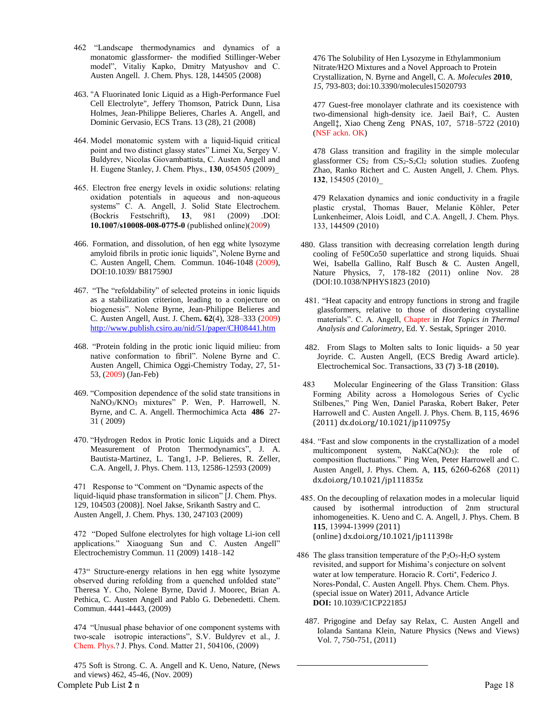- 462 "Landscape thermodynamics and dynamics of a monatomic glassformer- the modified Stillinger-Weber model", Vitaliy Kapko, Dmitry Matyushov and C. Austen Angell. J. Chem. Phys. 128, 144505 (2008)
- 463. "A Fluorinated Ionic Liquid as a High-Performance Fuel Cell Electrolyte", Jeffery Thomson, Patrick Dunn, Lisa Holmes, Jean-Philippe Belieres, Charles A. Angell, and Dominic Gervasio, ECS Trans. 13 (28), 21 (2008)
- 464. Model monatomic system with a liquid-liquid critical point and two distinct glassy states" Limei Xu, Sergey V. Buldyrev, Nicolas Giovambattista, C. Austen Angell and H. Eugene Stanley, J. Chem. Phys., **130**, 054505 (2009)\_
- 465. Electron free energy levels in oxidic solutions: relating oxidation potentials in aqueous and non-aqueous systems" C. A. Angell, J. Solid State Electrochem. (Bockris Festschrift), **13**, 981 (2009) .DOI: **10.1007/s10008-008-0775-0** (published online)(2009)
- 466. Formation, and dissolution, of hen egg white lysozyme amyloid fibrils in protic ionic liquids", Nolene Byrne and C. Austen Angell, Chem. Commun. 1046-1048 (2009), DOI:10.1039/ B817590J
- 467. "The "refoldability" of selected proteins in ionic liquids as a stabilization criterion, leading to a conjecture on biogenesis". Nolene Byrne, Jean-Philippe Belieres and C. Austen Angell, Aust. J. Chem**. 62**(4), 328–333 (2009) <http://www.publish.csiro.au/nid/51/paper/CH08441.htm>
- 468. "Protein folding in the protic ionic liquid milieu: from native conformation to fibril". Nolene Byrne and C. Austen Angell, Chimica Oggi-Chemistry Today, 27, 51- 53, (2009) (Jan-Feb)
- 469. "Composition dependence of the solid state transitions in NaNO3/KNO<sup>3</sup> mixtures" P. Wen, P. Harrowell, N. Byrne, and C. A. Angell. Thermochimica Acta **486** 27- 31 ( 2009)
- 470. "Hydrogen Redox in Protic Ionic Liquids and a Direct Measurement of Proton Thermodynamics", J. A. Bautista-Martinez, L. Tang1, J-P. Belieres, R. Zeller, C.A. Angell, J. Phys. Chem. 113, 12586-12593 (2009)

471 Response to "Comment on "Dynamic aspects of the liquid-liquid phase transformation in silicon" [J. Chem. Phys. 129, 104503 (2008)]. Noel Jakse, Srikanth Sastry and C. Austen Angell, J. Chem. Phys. 130, 247103 (2009)

472 "Doped Sulfone electrolytes for high voltage Li-ion cell applications." Xiaoguang Sun and C. Austen Angell" Electrochemistry Commun. 11 (2009) 1418–142

473" Structure-energy relations in hen egg white lysozyme observed during refolding from a quenched unfolded state" Theresa Y. Cho, Nolene Byrne, David J. Moorec, Brian A. Pethica, C. Austen Angell and Pablo G. Debenedetti. Chem. Commun. 4441-4443, (2009)

474 "Unusual phase behavior of one component systems with two-scale isotropic interactions", S.V. Buldyrev et al., J. Chem. Phys.? J. Phys. Cond. Matter 21, 504106, (2009)

Complete Pub List 2 n Page 18 475 Soft is Strong. C. A. Angell and K. Ueno, Nature, (News and views) 462, 45-46, (Nov. 2009)

476 The Solubility of Hen Lysozyme in Ethylammonium Nitrate/H2O Mixtures and a Novel Approach to Protein Crystallization, N. Byrne and Angell, C. A. *Molecules* **2010**, *15*, 793-803; doi:10.3390/molecules15020793

477 Guest-free monolayer clathrate and its coexistence with two-dimensional high-density ice. Jaeil Bai†, C. Austen Angell‡, Xiao Cheng Zeng PNAS, 107, 5718–5722 (2010) (NSF ackn. OK)

478 Glass transition and fragility in the simple molecular glassformer  $CS_2$  from  $CS_2-S_2Cl_2$  solution studies. Zuofeng Zhao, Ranko Richert and C. Austen Angell, J. Chem. Phys. **132**, 154505 (2010)\_

479 Relaxation dynamics and ionic conductivity in a fragile plastic crystal, Thomas Bauer, Melanie Köhler, Peter Lunkenheimer, Alois Loidl, and C.A. Angell, J. Chem. Phys. 133, 144509 (2010)

- 480. Glass transition with decreasing correlation length during cooling of Fe50Co50 superlattice and strong liquids. Shuai Wei, Isabella Gallino, Ralf Busch & C. Austen Angell, Nature Physics, 7, 178-182 (2011) online Nov. 28 (DOI:10.1038/NPHYS1823 (2010)
- 481. "Heat capacity and entropy functions in strong and fragile glassformers, relative to those of disordering crystalline materials". C. A. Angell, Chapter in *Hot Topics in Thermal Analysis and Calorimetry*, Ed. Y. Sestak, Springer 2010.
- 482. From Slags to Molten salts to Ionic liquids- a 50 year Joyride. C. Austen Angell, (ECS Bredig Award article). Electrochemical Soc. Transactions, **33 (7) 3-18 (2010).**
- 483 Molecular Engineering of the Glass Transition: Glass Forming Ability across a Homologous Series of Cyclic Stilbenes," Ping Wen, Daniel Paraska, Robert Baker, Peter Harrowell and C. Austen Angell. J. Phys. Chem. B, 115, 4696 (2011) dx.doi.org/10.1021/jp110975y
- 484. "Fast and slow components in the crystallization of a model multicomponent system, NaKCa(NO<sub>3</sub>): the role of composition fluctuations." Ping Wen, Peter Harrowell and C. Austen Angell, J. Phys. Chem. A, **115**, 6260-6268 (2011) dx.doi.org/10.1021/jp111835z
- 485. On the decoupling of relaxation modes in a molecular liquid caused by isothermal introduction of 2nm structural inhomogeneities. K. Ueno and C. A. Angell, J. Phys. Chem. B **115**, 13994-13999 (2011) (online) dx.doi.org/10.1021/jp111398r
- 486 The glass transition temperature of the  $P_2O_5-H_2O$  system revisited, and support for Mishima's conjecture on solvent water at low temperature. Horacio R. Corti , Federico J. Nores-Pondal, C. Austen Angell. Phys. Chem. Chem. Phys. (special issue on Water) 2011, Advance Article **DOI:** 10.1039/C1CP22185J
	- 487. Prigogine and Defay say Relax, C. Austen Angell and Iolanda Santana Klein, Nature Physics (News and Views) Vol. 7, 750-751, (2011)

l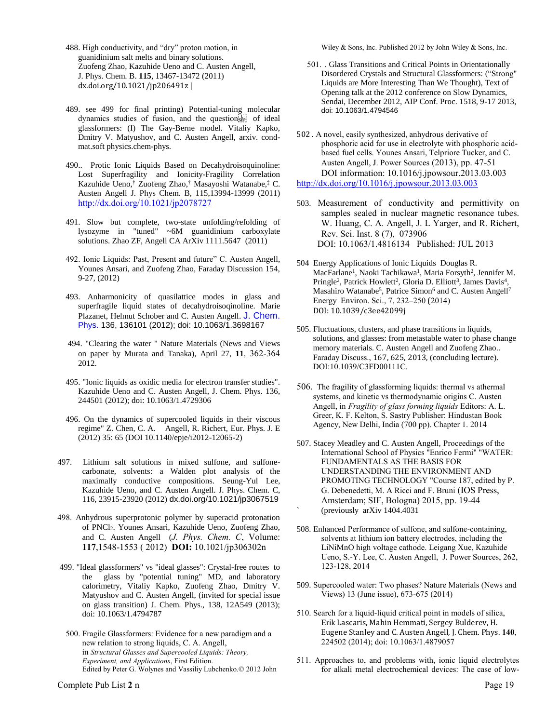- 488. High conductivity, and "dry" proton motion, in guanidinium salt melts and binary solutions. Zuofeng Zhao, Kazuhide Ueno and C. Austen Angell, J. Phys. Chem. B. **115**, 13467-13472 (2011) dx.doi.org/10.1021/jp206491z |
- 489. see 499 for final printing) Potential-tuning molecular dynamics studies of fusion, and the question<sub>SEP1</sub> of ideal glassformers: (I) The Gay-Berne model. Vitaliy Kapko, Dmitry V. Matyushov, and C. Austen Angell, arxiv. condmat.soft physics.chem-phys.
- 490.. Protic Ionic Liquids Based on Decahydroisoquinoline: Lost Superfragility and Ionicity-Fragility Correlation Kazuhide Ueno,† Zuofeng Zhao,† Masayoshi Watanabe,‡ C. Austen Angell J. Phys Chem. B, 115,13994-13999 (2011) <http://dx.doi.org/10.1021/jp2078727>
- 491. Slow but complete, two-state unfolding/refolding of lysozyme in "tuned" ~6M guanidinium carboxylate solutions. Zhao ZF, Angell CA ArXiv 1111.5647 (2011)
- 492. Ionic Liquids: Past, Present and future" C. Austen Angell, Younes Ansari, and Zuofeng Zhao, Faraday Discussion 154, 9-27, (2012)
- 493. Anharmonicity of quasilattice modes in glass and superfragile liquid states of decahydroisoqinoline. Marie Plazanet, Helmut Schober and C. Austen Angell. J. Chem. Phys. 136, 136101 (2012); doi: 10.1063/1.3698167
- 494. "Clearing the water " Nature Materials (News and Views on paper by Murata and Tanaka), April 27, **11**, 362-364 2012.
- 495. "Ionic liquids as oxidic media for electron transfer studies". Kazuhide Ueno and C. Austen Angell, J. Chem. Phys. 136, 244501 (2012); doi: 10.1063/1.4729306
- 496. On the dynamics of supercooled liquids in their viscous regime" Z. Chen, C. A. Angell, R. Richert, Eur. Phys. J. E (2012) 35: 65 (DOI 10.1140/epje/i2012-12065-2)
- 497. Lithium salt solutions in mixed sulfone, and sulfonecarbonate, solvents: a Walden plot analysis of the maximally conductive compositions. Seung-Yul Lee, Kazuhide Ueno, and C. Austen Angell. J. Phys. Chem. C, 116, 23915-23920 (2012) dx.doi.org/10.1021/jp3067519
- 498. Anhydrous superprotonic polymer by superacid protonation of PNCl2. Younes Ansari, Kazuhide Ueno, Zuofeng Zhao, and C. Austen Angell (*J. Phys. Chem. C*, Volume: **117**,1548-1553 ( 2012) **DOI:** 10.1021/jp306302n
- 499. "Ideal glassformers" vs "ideal glasses": Crystal-free routes to the glass by "potential tuning" MD, and laboratory calorimetry, Vitaliy Kapko, Zuofeng Zhao, Dmitry V. Matyushov and C. Austen Angell, (invited for special issue on glass transition) J. Chem. Phys., 138, 12A549 (2013); doi: 10.1063/1.4794787
- 500. Fragile Glassformers: Evidence for a new paradigm and a new relation to strong liquids, C. A. Angell, in *Structural Glasses and Supercooled Liquids: Theory, Experiment, and Applications*, First Edition. Edited by Peter G. Wolynes and Vassiliy Lubchenko.© 2012 John

Wiley & Sons, Inc. Published 2012 by John Wiley & Sons, Inc.

- 501. . Glass Transitions and Critical Points in Orientationally Disordered Crystals and Structural Glassformers: ("Strong" Liquids are More Interesting Than We Thought), Text of Opening talk at the 2012 conference on Slow Dynamics, Sendai, December 2012, AIP Conf. Proc. 1518, 9-17 2013, doi: 10.1063/1.4794546
- 502 . A novel, easily synthesized, anhydrous derivative of phosphoric acid for use in electrolyte with phosphoric acidbased fuel cells. Younes Ansari, Telpriore Tucker, and C. Austen Angell, J. Power Sources (2013), pp. 47-51 DOI information: 10.1016/j.jpowsour.2013.03.003 <http://dx.doi.org/10.1016/j.jpowsour.2013.03.003>
- 503. Measurement of conductivity and permittivity on samples sealed in nuclear magnetic resonance tubes. W. Huang, C. A. Angell, J. L Yarger, and R. Richert, Rev. Sci. Inst. 8 (7), 073906 DOI: 10.1063/1.4816134 Published: JUL 2013
- 504 Energy Applications of Ionic Liquids Douglas R. MacFarlane<sup>1</sup>, Naoki Tachikawa<sup>1</sup>, Maria Forsyth<sup>2</sup>, Jennifer M. Pringle<sup>2</sup>, Patrick Howlett<sup>2</sup>, Gloria D. Elliott<sup>3</sup>, James Davis<sup>4</sup>, Masahiro Watanabe<sup>5</sup>, Patrice Simon<sup>6</sup> and C. Austen Angell<sup>7</sup> Energy Environ. Sci., 7, 232–250 (2014) DOI: 10.1039/c3ee42099j
- 505. Fluctuations, clusters, and phase transitions in liquids, solutions, and glasses: from metastable water to phase change memory materials. C. Austen Angell and Zuofeng Zhao.. Faraday Discuss., 167, 625, 2013, (concluding lecture). DOI:10.1039/C3FD00111C.
- 506. The fragility of glassforming liquids: thermal vs athermal systems, and kinetic vs thermodynamic origins C. Austen Angell, in *Fragility of glass forming liquids* Editors: A. L. Greer, K. F. Kelton, S. Sastry Publisher: Hindustan Book Agency, New Delhi, India (700 pp). Chapter 1. 2014
- 507. Stacey Meadley and C. Austen Angell, Proceedings of the International School of Physics "Enrico Fermi" "WATER: FUNDAMENTALS AS THE BASIS FOR UNDERSTANDING THE ENVIRONMENT AND PROMOTING TECHNOLOGY "Course 187, edited by P. G. Debenedetti, M. A Ricci and F. Bruni (IOS Press, Amsterdam; SIF, Bologna) 2015, pp. 19-44 ` (previously arXiv 1404.4031
- 508. Enhanced Performance of sulfone, and sulfone-containing, solvents at lithium ion battery electrodes, including the LiNiMnO high voltage cathode. Leigang Xue, Kazuhide Ueno, S.-Y. Lee, C. Austen Angell, J. Power Sources, 262, 123-128, 2014
- 509. Supercooled water: Two phases? Nature Materials (News and Views) 13 (June issue), 673-675 (2014)
- 510. Search for a liquid-liquid critical point in models of silica, Erik Lascaris, Mahin Hemmati, Sergey Bulderev, H. Eugene Stanley and C. Austen Angell, J. Chem. Phys. **140**, 224502 (2014); doi: 10.1063/1.4879057
- 511. Approaches to, and problems with, ionic liquid electrolytes for alkali metal electrochemical devices: The case of low-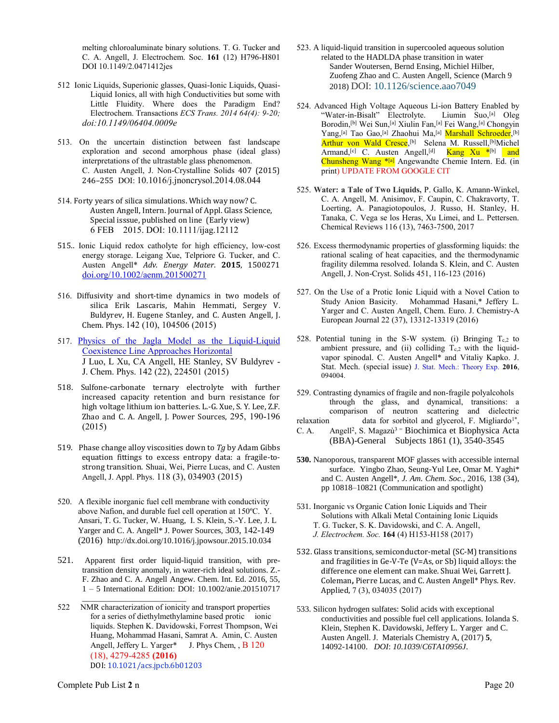melting chloroaluminate binary solutions. T. G. Tucker and C. A. Angell, J. Electrochem. Soc. **161** (12) H796-H801 DOI 10.1149/2.0471412jes

- 512 Ionic Liquids, Superionic glasses, Quasi-Ionic Liquids, Quasi-Liquid Ionics, all with high Conductivities but some with Little Fluidity. Where does the Paradigm End? Electrochem. Transactions *ECS Trans. 2014 64(4): 9-20; doi:10.1149/06404.0009e*
- 513. On the uncertain distinction between fast landscape exploration and second amorphous phase (ideal glass) interpretations of the ultrastable glass phenomenon. C. Austen Angell, J. Non-Crystalline Solids 407 (2015) 246–255 DOI: 10.1016/j.jnoncrysol.2014.08.044
- 514. Forty years of silica simulations. Which way now? C. Austen Angell, Intern. Journal of Appl. Glass Science, Special isssue, published on line (Early view) 6 FEB 2015. DOI: 10.1111/ijag.12112
- 515.. Ionic Liquid redox catholyte for high efficiency, low-cost energy storage. Leigang Xue, Telpriore G. Tucker, and C. Austen Angell\* *Adv. Energy Mater*. **2015**, 1500271 [doi.org/10.1002/aenm.201500271](http://dx.doi.org/10.1002/aenm.201500271)
- 516. Diffusivity and short-time dynamics in two models of silica Erik Lascaris, Mahin Hemmati, Sergey V. Buldyrev, H. Eugene Stanley, and C. Austen Angell, J. Chem. Phys. 142 (10), 104506 (2015)
- 517. [Physics of the Jagla Model as the Liquid-Liquid](http://scholar.google.com/scholar?oi=bibs&cluster=11801202140170563800&btnI=1&hl=en)  [Coexistence Line Approaches Horizontal](http://scholar.google.com/scholar?oi=bibs&cluster=11801202140170563800&btnI=1&hl=en) J Luo, L Xu, CA Angell, HE Stanley, SV Buldyrev - J. Chem. Phys. 142 (22), 224501 (2015)
- 518. Sulfone-carbonate ternary electrolyte with further increased capacity retention and burn resistance for high voltage lithium ion batteries. L.-G. Xue, S. Y. Lee, Z.F. Zhao and C. A. Angell, J. Power Sources, 295, 190-196 (2015)
- 519. Phase change alloy viscosities down to *Tg* by Adam Gibbs equation fittings to excess entropy data: a fragile-tostrong transition. Shuai, Wei, Pierre Lucas, and C. Austen Angell, J. Appl. Phys. 118 (3), 034903 (2015)
- 520. A flexible inorganic fuel cell membrane with conductivity above Nafion, and durable fuel cell operation at 150ºC. Y. Ansari, T. G. Tucker, W. Huang, I. S. Klein, S.-Y. Lee, J. L Yarger and C. A. Angell\* J. Power Sources, 303, 142-149 (2016) http://dx.doi.org/10.1016/j.jpowsour.2015.10.034
- 521. Apparent first order liquid-liquid transition, with pretransition density anomaly, in water-rich ideal solutions. Z.- F. Zhao and C. A. Angell Angew. Chem. Int. Ed. 2016, 55, 1 – 5 International Edition: DOI: 10.1002/anie.201510717
- \_\_\_\_\_\_\_\_\_\_\_\_\_\_\_\_\_\_\_\_\_\_\_\_\_ 522 NMR characterization of ionicity and transport properties for a series of diethylmethylamine based protic ionic liquids. Stephen K. Davidowski, Forrest Thompson, Wei Huang, Mohammad Hasani, Samrat A. Amin, C. Austen Angell, Jeffery L. Yarger\* J. Phys Chem, , B 120 (18), 4279-4285 **(2016)** DOI: 10.1021/acs.jpcb.6b01203
- 523. A liquid-liquid transition in supercooled aqueous solution related to the HADLDA phase transition in water Sander Woutersen, Bernd Ensing, Michiel Hilber, Zuofeng Zhao and C. Austen Angell, Science (March 9 2018) DOI: 10.1126/science.aao7049
- 524. Advanced High Voltage Aqueous Li-ion Battery Enabled by "Water-in-Bisalt" Electrolyte. Liumin Suo,<sup>[a]</sup> Oleg Borodin,[b] Wei Sun,[a] Xiulin Fan,[a] Fei Wang,[a] Chongyin Yang,<sup>[a]</sup> Tao Gao,<sup>[a]</sup> Zhaohui Ma,<sup>[a]</sup> <mark>Marshall Schroeder</mark>,<sup>[b]</sup> Arthur von Wald Cresce,<sup>[b]</sup> Selena M. Russell,<sup>[b]</sup>Michel Armand,<sup>[c]</sup> C. Austen Angell,<sup>[d]</sup> **Kang Xu \***[b] and Chunsheng Wang \*[a] Angewandte Chemie Intern. Ed. (in print) UPDATE FROM GOOGLE CIT
- 525. **Water: a Tale of Two Liquids,** P. Gallo, K. Amann-Winkel, C. A. Angell, M. Anisimov, F. Caupin, C. Chakravorty, T. Loerting, A. Panagiotopoulos, J. Russo, H. Stanley, H. Tanaka, C. Vega se los Heras, Xu Limei, and L. Pettersen. Chemical Reviews 116 (13), 7463-7500, 2017
- 526. Excess thermodynamic properties of glassforming liquids: the rational scaling of heat capacities, and the thermodynamic fragility dilemma resolved. Iolanda S. Klein, and C. Austen Angell, J. Non-Cryst. Solids 451, 116-123 (2016)
- 527. On the Use of a Protic Ionic Liquid with a Novel Cation to Study Anion Basicity. Mohammad Hasani,\* Jeffery L. Yarger and C. Austen Angell, Chem. Euro. J. Chemistry-A European Journal 22 (37), 13312-13319 (2016)
- 528. Potential tuning in the S-W system. (i) Bringing  $T_{c,2}$  to ambient pressure, and (ii) colliding  $T_{c,2}$  with the liquidvapor spinodal. C. Austen Angell\* and Vitaliy Kapko. J. Stat. Mech. (special issue) J. Stat. Mech.: Theory Exp. **2016**, 094004.
- 529. Contrasting dynamics of fragile and non-fragile polyalcohols through the glass, and dynamical, transitions: a comparison of neutron scattering and dielectric<br>relaxation data for sorbitol and glycerol. F. Migliardo<sup>1\*</sup>. relaxation data for sorbitol and glycerol, F. Migliardo<sup>1\*</sup>,
- C. A. Angell<sup>2</sup>, S. Magazù<sup>3 =</sup> Biochimica et Biophysica Acta (BBA)-General Subjects 1861 (1), 3540-3545
- **530.** Nanoporous, transparent MOF glasses with accessible internal surface. Yingbo Zhao, Seung-Yul Lee, Omar M. Yaghi\* and C. Austen Angell\*, *J. Am. Chem. Soc.*, 2016, 138 (34), pp 10818–10821 (Communication and spotlight)
- 531. Inorganic vs Organic Cation Ionic Liquids and Their Solutions with Alkali Metal Containing Ionic Liquids
	- T. G. Tucker, S. K. Davidowski, and C. A. Angell,  *J. Electrochem. Soc.* **164** (4) H153-H158 (2017)
- 532. Glass transitions, semiconductor-metal (SC-M) transitions and fragilities in Ge-V-Te (V=As, or Sb) liquid alloys: the difference one element can make. Shuai Wei, Garrett J. Coleman**,** Pierre Lucas, and C. Austen Angell\* Phys. Rev. Applied, 7 (3), 034035 (2017)
- 533. Silicon hydrogen sulfates: Solid acids with exceptional conductivities and possible fuel cell applications. Iolanda S. Klein, Stephen K. Davidowski, Jeffery L. Yarger and C. Austen Angell. J. Materials Chemistry A, (2017) **5**, 14092-14100. *DOI*: *10.1039*/*C6TA10956J*.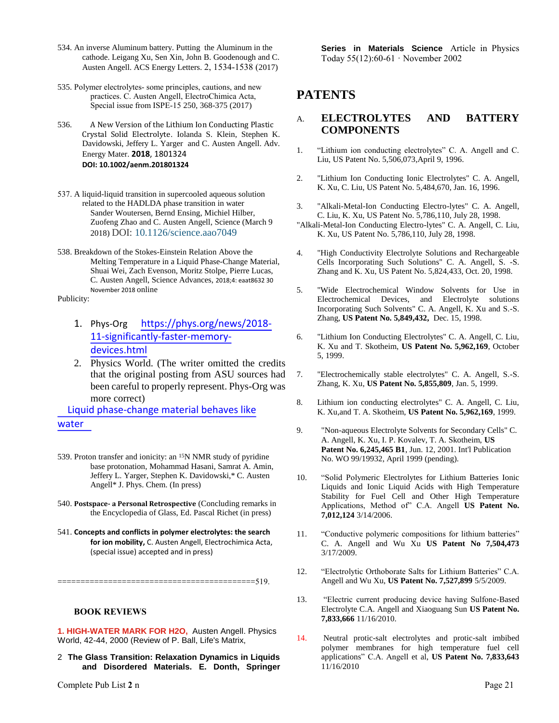- 534. An inverse Aluminum battery. Putting the Aluminum in the cathode. Leigang Xu, Sen Xin, John B. Goodenough and C. Austen Angell. ACS Energy Letters. 2, 1534-1538 (2017)
- 535. Polymer electrolytes- some principles, cautions, and new practices. C. Austen Angell, ElectroChimica Acta, Special issue from ISPE-15 250, 368-375 (2017)
- 536. A New Version of the Lithium Ion Conducting Plastic Crystal Solid Electrolyte. Iolanda S. Klein, Stephen K. Davidowski, Jeffery L. Yarger and C. Austen Angell. Adv. Energy Mater. **2018**, 1801324 **DOI: 10.1002/aenm.201801324**
- 537. A liquid-liquid transition in supercooled aqueous solution related to the HADLDA phase transition in water Sander Woutersen, Bernd Ensing, Michiel Hilber, Zuofeng Zhao and C. Austen Angell, Science (March 9 2018) DOI: 10.1126/science.aao7049
- 538. Breakdown of the Stokes-Einstein Relation Above the Melting Temperature in a Liquid Phase-Change Material, Shuai Wei, Zach Evenson, Moritz Stolpe, Pierre Lucas, C. Austen Angell, Science Advances, 2018;4: eaat8632 30 November 2018 online

Publicity:

- 1. Phys-Org https://phys.org/news/2018- 11-significantly-faster-memorydevices.html
- 2. Physics World. (The writer omitted the credits that the original posting from ASU sources had been careful to properly represent. Phys-Org was more correct)

Liquid phase-change material behaves like water 

- 539. Proton transfer and ionicity: an <sup>15</sup>N NMR study of pyridine base protonation, Mohammad Hasani, Samrat A. Amin, Jeffery L. Yarger, Stephen K. Davidowski,\* C. Austen Angell\* J. Phys. Chem. (In press)
- 540. **Postspace- a Personal Retrospective** (Concluding remarks in the Encyclopedia of Glass, Ed. Pascal Richet (in press)
- 541. **Concepts and conflicts in polymer electrolytes: the search for ion mobility,** C. Austen Angell, Electrochimica Acta, (special issue) accepted and in press)

===========================================519.

**BOOK REVIEWS**

**1. HIGH-WATER MARK FOR H2O,** [Austen Angell.](http://physicsworldarchive.iop.org/index.cfm?action=search.home&coll=xml&field1=name&query1=Austen%20Angell&filters=5&newsearch=1&search=Search) Physics World, 42-44, 2000 (Review of P. Ball, Life's Matrix,

2 **The Glass Transition: Relaxation Dynamics in Liquids and Disordered Materials. E. Donth, Springer**  **Series in Materials Science** Article in Physics Today 55(12):60-61 · November 2002

## **PATENTS**

## A. **ELECTROLYTES AND BATTERY COMPONENTS**

- 1. "Lithium ion conducting electrolytes" C. A. Angell and C. Liu, US Patent No. 5,506,073,April 9, 1996.
- 2. "Lithium Ion Conducting Ionic Electrolytes" C. A. Angell, K. Xu, C. Liu, US Patent No. 5,484,670, Jan. 16, 1996.
- 3. "Alkali-Metal-Ion Conducting Electro-lytes" C. A. Angell, C. Liu, K. Xu, US Patent No. 5,786,110, July 28, 1998.
- "Alkali-Metal-Ion Conducting Electro-lytes" C. A. Angell, C. Liu, K. Xu, US Patent No. 5,786,110, July 28, 1998.
- 4. "High Conductivity Electrolyte Solutions and Rechargeable Cells Incorporating Such Solutions" C. A. Angell, S. -S. Zhang and K. Xu, US Patent No. 5,824,433, Oct. 20, 1998.
- 5. "Wide Electrochemical Window Solvents for Use in Electrochemical Devices, and Electrolyte solutions Incorporating Such Solvents" C. A. Angell, K. Xu and S.-S. Zhang, **US Patent No. 5,849,432,** Dec. 15, 1998.
- 6. "Lithium Ion Conducting Electrolytes" C. A. Angell, C. Liu, K. Xu and T. Skotheim, **US Patent No. 5,962,169**, October 5, 1999.
- 7. "Electrochemically stable electrolytes" C. A. Angell, S.-S. Zhang, K. Xu, **US Patent No. 5,855,809**, Jan. 5, 1999.
- 8. Lithium ion conducting electrolytes" C. A. Angell, C. Liu, K. Xu,and T. A. Skotheim, **US Patent No. 5,962,169**, 1999.
- 9. "Non-aqueous Electrolyte Solvents for Secondary Cells" C. A. Angell, K. Xu, I. P. Kovalev, T. A. Skotheim, **US Patent No. 6,245,465 B1**, Jun. 12, 2001. Int'l Publication No. WO 99/19932, April 1999 (pending).
- 10. "Solid Polymeric Electrolytes for Lithium Batteries Ionic Liquids and Ionic Liquid Acids with High Temperature Stability for Fuel Cell and Other High Temperature Applications, Method of" C.A. Angell **US Patent No. 7,012,124** 3/14/2006.
- 11. "Conductive polymeric compositions for lithium batteries" C. A. Angell and Wu Xu **US Patent No 7,504,473** 3/17/2009.
- 12. "Electrolytic Orthoborate Salts for Lithium Batteries" C.A. Angell and Wu Xu, **US Patent No. 7,527,899** 5/5/2009.
- 13. "Electric current producing device having Sulfone-Based Electrolyte C.A. Angell and Xiaoguang Sun **US Patent No. 7,833,666** 11/16/2010.
- 14. Neutral protic-salt electrolytes and protic-salt imbibed polymer membranes for high temperature fuel cell applications" C.A. Angell et al, **US Patent No. 7,833,643** 11/16/2010